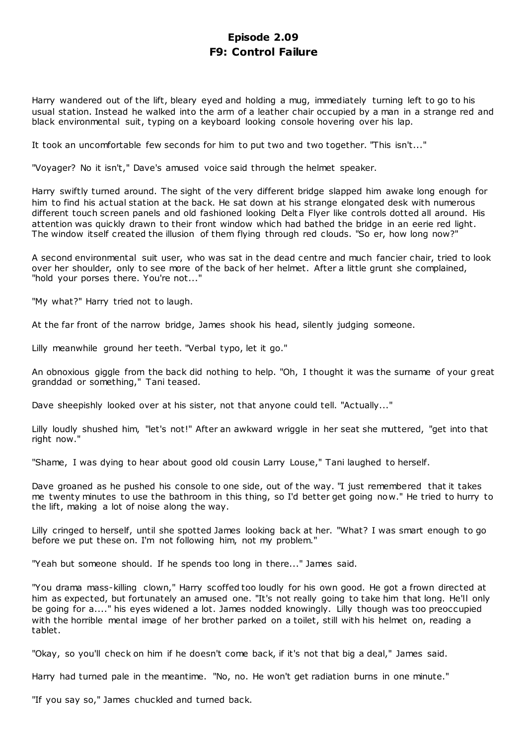# **Episode 2.09 F9: Control Failure**

Harry wandered out of the lift, bleary eyed and holding a mug, immediately turning left to go to his usual station. Instead he walked into the arm of a leather chair occupied by a man in a strange red and black environmental suit, typing on a keyboard looking console hovering over his lap.

It took an uncomfortable few seconds for him to put two and two together. "This isn't..."

"Voyager? No it isn't," Dave's amused voice said through the helmet speaker.

Harry swiftly turned around. The sight of the very different bridge slapped him awake long enough for him to find his actual station at the back. He sat down at his strange elongated desk with numerous different touch screen panels and old fashioned looking Delta Flyer like controls dotted all around. His attention was quickly drawn to their front window which had bathed the bridge in an eerie red light. The window itself created the illusion of them flying through red clouds. "So er, how long now?"

A second environmental suit user, who was sat in the dead centre and much fancier chair, tried to look over her shoulder, only to see more of the back of her helmet. After a little grunt she complained, "hold your porses there. You're not..."

"My what?" Harry tried not to laugh.

At the far front of the narrow bridge, James shook his head, silently judging someone.

Lilly meanwhile ground her teeth. "Verbal typo, let it go."

An obnoxious giggle from the back did nothing to help. "Oh, I thought it was the surname of your great granddad or something," Tani teased.

Dave sheepishly looked over at his sister, not that anyone could tell. "Actually..."

Lilly loudly shushed him, "let's not!" After an awkward wriggle in her seat she muttered, "get into that right now."

"Shame, I was dying to hear about good old cousin Larry Louse," Tani laughed to herself.

Dave groaned as he pushed his console to one side, out of the way. "I just remembered that it takes me twenty minutes to use the bathroom in this thing, so I'd better get going now." He tried to hurry to the lift, making a lot of noise along the way.

Lilly cringed to herself, until she spotted James looking back at her. "What? I was smart enough to go before we put these on. I'm not following him, not my problem."

"Yeah but someone should. If he spends too long in there..." James said.

"You drama mass-killing clown," Harry scoffed too loudly for his own good. He got a frown directed at him as expected, but fortunately an amused one. "It's not really going to take him that long. He'll only be going for a...." his eyes widened a lot. James nodded knowingly. Lilly though was too preoccupied with the horrible mental image of her brother parked on a toilet, still with his helmet on, reading a tablet.

"Okay, so you'll check on him if he doesn't come back, if it's not that big a deal," James said.

Harry had turned pale in the meantime. "No, no. He won't get radiation burns in one minute."

"If you say so," James chuckled and turned back.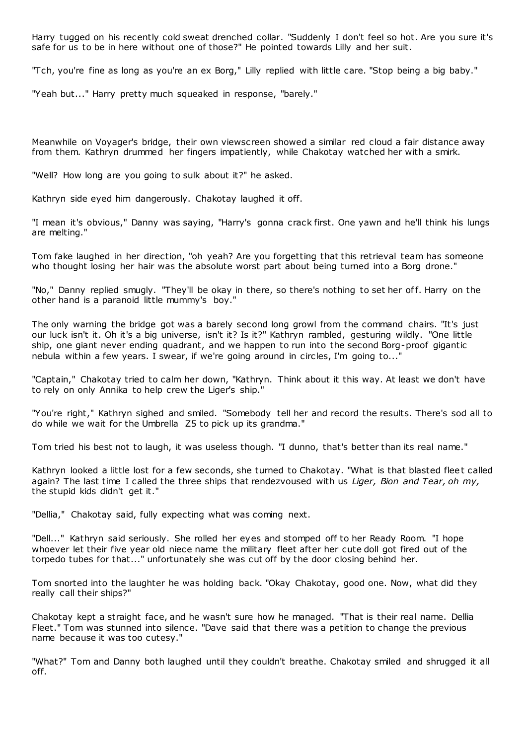Harry tugged on his recently cold sweat drenched collar. "Suddenly I don't feel so hot. Are you sure it's safe for us to be in here without one of those?" He pointed towards Lilly and her suit.

"Tch, you're fine as long as you're an ex Borg," Lilly replied with little care. "Stop being a big baby."

"Yeah but..." Harry pretty much squeaked in response, "barely."

Meanwhile on Voyager's bridge, their own viewscreen showed a similar red cloud a fair distance away from them. Kathryn drummed her fingers impatiently, while Chakotay watched her with a smirk.

"Well? How long are you going to sulk about it?" he asked.

Kathryn side eyed him dangerously. Chakotay laughed it off.

"I mean it's obvious," Danny was saying, "Harry's gonna crack first. One yawn and he'll think his lungs are melting."

Tom fake laughed in her direction, "oh yeah? Are you forgetting that this retrieval team has someone who thought losing her hair was the absolute worst part about being turned into a Borg drone."

"No," Danny replied smugly. "They'll be okay in there, so there's nothing to set her off. Harry on the other hand is a paranoid little mummy's boy."

The only warning the bridge got was a barely second long growl from the command chairs. "It's just our luck isn't it. Oh it's a big universe, isn't it? Is it?" Kathryn rambled, gesturing wildly. "One little ship, one giant never ending quadrant, and we happen to run into the second Borg-proof gigantic nebula within a few years. I swear, if we're going around in circles, I'm going to..."

"Captain," Chakotay tried to calm her down, "Kathryn. Think about it this way. At least we don't have to rely on only Annika to help crew the Liger's ship."

"You're right," Kathryn sighed and smiled. "Somebody tell her and record the results. There's sod all to do while we wait for the Umbrella Z5 to pick up its grandma."

Tom tried his best not to laugh, it was useless though. "I dunno, that's better than its real name."

Kathryn looked a little lost for a few seconds, she turned to Chakotay. "What is that blasted fleet called again? The last time I called the three ships that rendezvoused with us *Liger, Bion and Tear, oh my,* the stupid kids didn't get it."

"Dellia," Chakotay said, fully expecting what was coming next.

"Dell..." Kathryn said seriously. She rolled her eyes and stomped off to her Ready Room. "I hope whoever let their five year old niece name the military fleet after her cute doll got fired out of the torpedo tubes for that..." unfortunately she was cut off by the door closing behind her.

Tom snorted into the laughter he was holding back. "Okay Chakotay, good one. Now, what did they really call their ships?"

Chakotay kept a straight face, and he wasn't sure how he managed. "That is their real name. Dellia Fleet." Tom was stunned into silence. "Dave said that there was a petition to change the previous name because it was too cutesy."

"What?" Tom and Danny both laughed until they couldn't breathe. Chakotay smiled and shrugged it all off.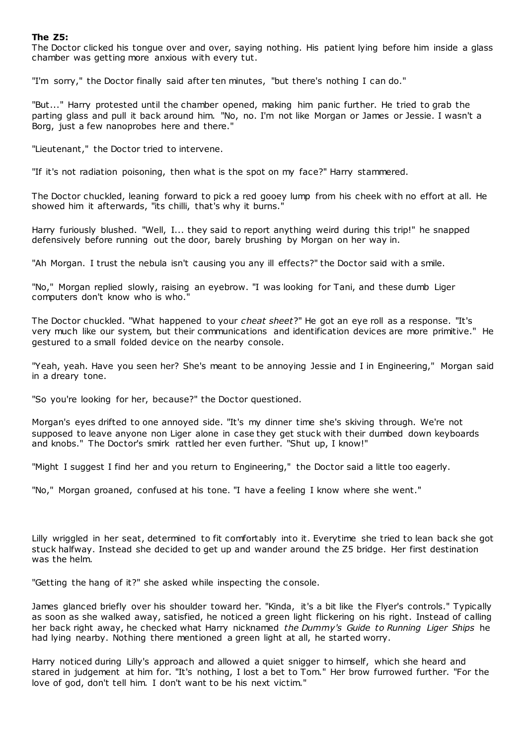# **The Z5:**

The Doctor clicked his tongue over and over, saying nothing. His patient lying before him inside a glass chamber was getting more anxious with every tut.

"I'm sorry," the Doctor finally said after ten minutes, "but there's nothing I can do."

"But..." Harry protested until the chamber opened, making him panic further. He tried to grab the parting glass and pull it back around him. "No, no. I'm not like Morgan or James or Jessie. I wasn't a Borg, just a few nanoprobes here and there."

"Lieutenant," the Doctor tried to intervene.

"If it's not radiation poisoning, then what is the spot on my face?" Harry stammered.

The Doctor chuckled, leaning forward to pick a red gooey lump from his cheek with no effort at all. He showed him it afterwards, "its chilli, that's why it burns."

Harry furiously blushed. "Well, I... they said to report anything weird during this trip!" he snapped defensively before running out the door, barely brushing by Morgan on her way in.

"Ah Morgan. I trust the nebula isn't causing you any ill effects?" the Doctor said with a smile.

"No," Morgan replied slowly, raising an eyebrow. "I was looking for Tani, and these dumb Liger computers don't know who is who."

The Doctor chuckled. "What happened to your *cheat sheet*?" He got an eye roll as a response. "It's very much like our system, but their communications and identification devices are more primitive." He gestured to a small folded device on the nearby console.

"Yeah, yeah. Have you seen her? She's meant to be annoying Jessie and I in Engineering," Morgan said in a dreary tone.

"So you're looking for her, because?" the Doctor questioned.

Morgan's eyes drifted to one annoyed side. "It's my dinner time she's skiving through. We're not supposed to leave anyone non Liger alone in case they get stuck with their dumbed down keyboards and knobs." The Doctor's smirk rattled her even further. "Shut up, I know!"

"Might I suggest I find her and you return to Engineering," the Doctor said a little too eagerly.

"No," Morgan groaned, confused at his tone. "I have a feeling I know where she went."

Lilly wriggled in her seat, determined to fit comfortably into it. Everytime she tried to lean back she got stuck halfway. Instead she decided to get up and wander around the Z5 bridge. Her first destination was the helm.

"Getting the hang of it?" she asked while inspecting the c onsole.

James glanced briefly over his shoulder toward her. "Kinda, it's a bit like the Flyer's controls." Typically as soon as she walked away, satisfied, he noticed a green light flickering on his right. Instead of calling her back right away, he checked what Harry nicknamed *the Dummy's Guide to Running Liger Ships* he had lying nearby. Nothing there mentioned a green light at all, he started worry.

Harry noticed during Lilly's approach and allowed a quiet snigger to himself, which she heard and stared in judgement at him for. "It's nothing, I lost a bet to Tom." Her brow furrowed further. "For the love of god, don't tell him. I don't want to be his next victim."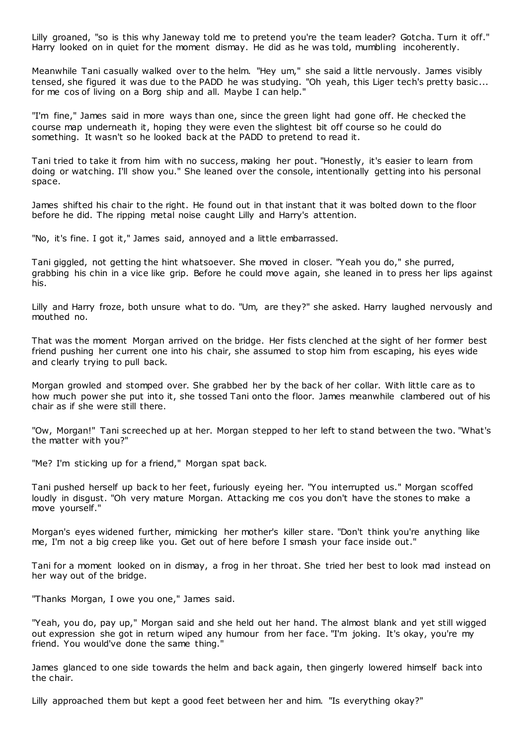Lilly groaned, "so is this why Janeway told me to pretend you're the team leader? Gotcha. Turn it off." Harry looked on in quiet for the moment dismay. He did as he was told, mumbling incoherently.

Meanwhile Tani casually walked over to the helm. "Hey um," she said a little nervously. James visibly tensed, she figured it was due to the PADD he was studying. "Oh yeah, this Liger tech's pretty basic ... for me cos of living on a Borg ship and all. Maybe I can help."

"I'm fine," James said in more ways than one, since the green light had gone off. He checked the course map underneath it, hoping they were even the slightest bit off course so he could do something. It wasn't so he looked back at the PADD to pretend to read it.

Tani tried to take it from him with no success, making her pout. "Honestly, it's easier to learn from doing or watching. I'll show you." She leaned over the console, intentionally getting into his personal space.

James shifted his chair to the right. He found out in that instant that it was bolted down to the floor before he did. The ripping metal noise caught Lilly and Harry's attention.

"No, it's fine. I got it," James said, annoyed and a little embarrassed.

Tani giggled, not getting the hint whatsoever. She moved in closer. "Yeah you do," she purred, grabbing his chin in a vice like grip. Before he could move again, she leaned in to press her lips against his.

Lilly and Harry froze, both unsure what to do. "Um, are they?" she asked. Harry laughed nervously and mouthed no.

That was the moment Morgan arrived on the bridge. Her fists clenched at the sight of her former best friend pushing her current one into his chair, she assumed to stop him from escaping, his eyes wide and clearly trying to pull back.

Morgan growled and stomped over. She grabbed her by the back of her collar. With little care as to how much power she put into it, she tossed Tani onto the floor. James meanwhile clambered out of his chair as if she were still there.

"Ow, Morgan!" Tani screeched up at her. Morgan stepped to her left to stand between the two. "What's the matter with you?"

"Me? I'm sticking up for a friend," Morgan spat back.

Tani pushed herself up back to her feet, furiously eyeing her. "You interrupted us." Morgan scoffed loudly in disgust. "Oh very mature Morgan. Attacking me cos you don't have the stones to make a move yourself."

Morgan's eyes widened further, mimicking her mother's killer stare. "Don't think you're anything like me, I'm not a big creep like you. Get out of here before I smash your face inside out."

Tani for a moment looked on in dismay, a frog in her throat. She tried her best to look mad instead on her way out of the bridge.

"Thanks Morgan, I owe you one," James said.

"Yeah, you do, pay up," Morgan said and she held out her hand. The almost blank and yet still wigged out expression she got in return wiped any humour from her face. "I'm joking. It's okay, you're my friend. You would've done the same thing."

James glanced to one side towards the helm and back again, then gingerly lowered himself back into the chair.

Lilly approached them but kept a good feet between her and him. "Is everything okay?"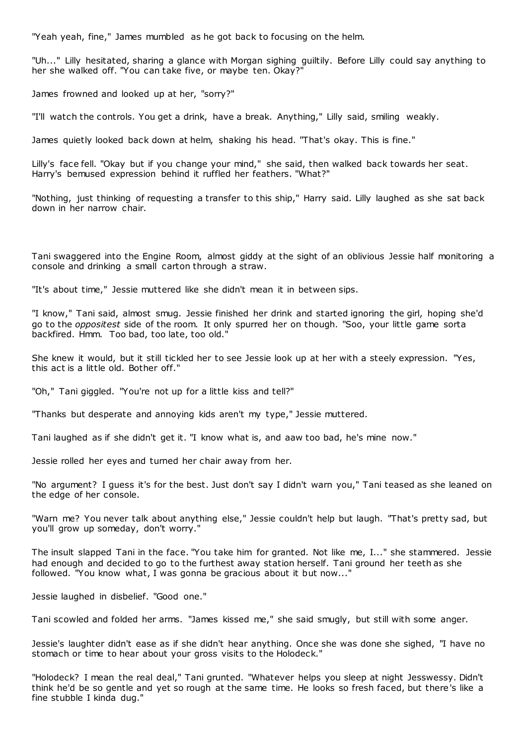"Yeah yeah, fine," James mumbled as he got back to focusing on the helm.

"Uh..." Lilly hesitated, sharing a glance with Morgan sighing guiltily. Before Lilly could say anything to her she walked off. "You can take five, or maybe ten. Okay?"

James frowned and looked up at her, "sorry?"

"I'll watch the controls. You get a drink, have a break. Anything," Lilly said, smiling weakly.

James quietly looked back down at helm, shaking his head. "That's okay. This is fine."

Lilly's face fell. "Okay but if you change your mind," she said, then walked back towards her seat. Harry's bemused expression behind it ruffled her feathers. "What?"

"Nothing, just thinking of requesting a transfer to this ship," Harry said. Lilly laughed as she sat back down in her narrow chair.

Tani swaggered into the Engine Room, almost giddy at the sight of an oblivious Jessie half monitoring a console and drinking a small carton through a straw.

"It's about time," Jessie muttered like she didn't mean it in between sips.

"I know," Tani said, almost smug. Jessie finished her drink and started ignoring the girl, hoping she'd go to the *oppositest* side of the room. It only spurred her on though. "Soo, your little game sorta backfired. Hmm. Too bad, too late, too old."

She knew it would, but it still tickled her to see Jessie look up at her with a steely expression. "Yes, this act is a little old. Bother off."

"Oh," Tani giggled. "You're not up for a little kiss and tell?"

"Thanks but desperate and annoying kids aren't my type," Jessie muttered.

Tani laughed as if she didn't get it. "I know what is, and aaw too bad, he's mine now."

Jessie rolled her eyes and turned her chair away from her.

"No argument? I guess it's for the best. Just don't say I didn't warn you," Tani teased as she leaned on the edge of her console.

"Warn me? You never talk about anything else," Jessie couldn't help but laugh. "That's pretty sad, but you'll grow up someday, don't worry."

The insult slapped Tani in the face. "You take him for granted. Not like me, I..." she stammered. Jessie had enough and decided to go to the furthest away station herself. Tani ground her teeth as she followed. "You know what, I was gonna be gracious about it but now..."

Jessie laughed in disbelief. "Good one."

Tani scowled and folded her arms. "James kissed me," she said smugly, but still with some anger.

Jessie's laughter didn't ease as if she didn't hear anything. Once she was done she sighed, "I have no stomach or time to hear about your gross visits to the Holodeck."

"Holodeck? I mean the real deal," Tani grunted. "Whatever helps you sleep at night Jesswessy. Didn't think he'd be so gentle and yet so rough at the same time. He looks so fresh faced, but there's like a fine stubble I kinda dug."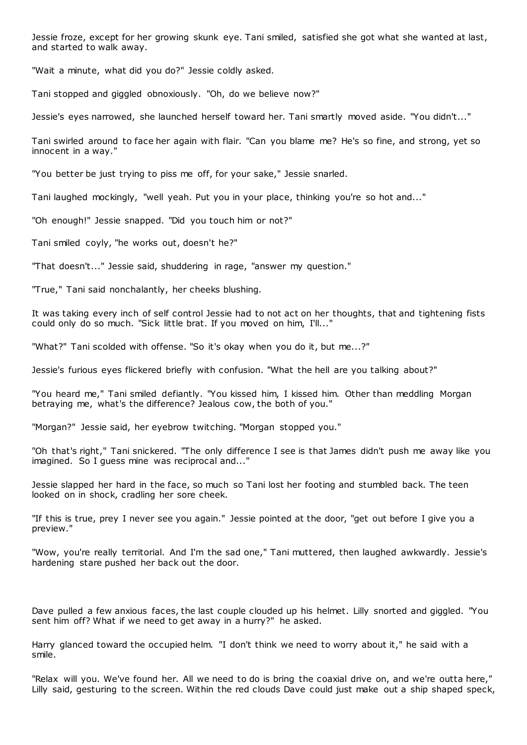Jessie froze, except for her growing skunk eye. Tani smiled, satisfied she got what she wanted at last, and started to walk away.

"Wait a minute, what did you do?" Jessie coldly asked.

Tani stopped and giggled obnoxiously. "Oh, do we believe now?"

Jessie's eyes narrowed, she launched herself toward her. Tani smartly moved aside. "You didn't..."

Tani swirled around to face her again with flair. "Can you blame me? He's so fine, and strong, yet so innocent in a way."

"You better be just trying to piss me off, for your sake," Jessie snarled.

Tani laughed mockingly, "well yeah. Put you in your place, thinking you're so hot and..."

"Oh enough!" Jessie snapped. "Did you touch him or not?"

Tani smiled coyly, "he works out, doesn't he?"

"That doesn't..." Jessie said, shuddering in rage, "answer my question."

"True," Tani said nonchalantly, her cheeks blushing.

It was taking every inch of self control Jessie had to not act on her thoughts, that and tightening fists could only do so much. "Sick little brat. If you moved on him, I'll..."

"What?" Tani scolded with offense. "So it's okay when you do it, but me...?"

Jessie's furious eyes flickered briefly with confusion. "What the hell are you talking about?"

"You heard me," Tani smiled defiantly. "You kissed him, I kissed him. Other than meddling Morgan betraying me, what's the difference? Jealous cow, the both of you."

"Morgan?" Jessie said, her eyebrow twitching. "Morgan stopped you."

"Oh that's right," Tani snickered. "The only difference I see is that James didn't push me away like you imagined. So I guess mine was reciprocal and..."

Jessie slapped her hard in the face, so much so Tani lost her footing and stumbled back. The teen looked on in shock, cradling her sore cheek.

"If this is true, prey I never see you again." Jessie pointed at the door, "get out before I give you a preview."

"Wow, you're really territorial. And I'm the sad one," Tani muttered, then laughed awkwardly. Jessie's hardening stare pushed her back out the door.

Dave pulled a few anxious faces, the last couple clouded up his helmet. Lilly snorted and giggled. "You sent him off? What if we need to get away in a hurry?" he asked.

Harry glanced toward the occupied helm. "I don't think we need to worry about it," he said with a smile.

"Relax will you. We've found her. All we need to do is bring the coaxial drive on, and we're outta here," Lilly said, gesturing to the screen. Within the red clouds Dave could just make out a ship shaped speck,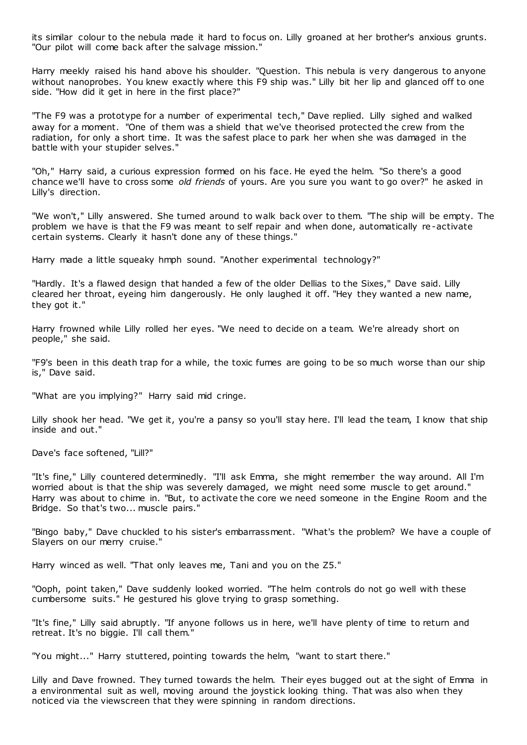its similar colour to the nebula made it hard to focus on. Lilly groaned at her brother's anxious grunts. "Our pilot will come back after the salvage mission."

Harry meekly raised his hand above his shoulder. "Question. This nebula is very dangerous to anyone without nanoprobes. You knew exactly where this F9 ship was." Lilly bit her lip and glanced off to one side. "How did it get in here in the first place?"

"The F9 was a prototype for a number of experimental tech," Dave replied. Lilly sighed and walked away for a moment. "One of them was a shield that we've theorised protected the crew from the radiation, for only a short time. It was the safest place to park her when she was damaged in the battle with your stupider selves."

"Oh," Harry said, a curious expression formed on his face. He eyed the helm. "So there's a good chance we'll have to cross some *old friends* of yours. Are you sure you want to go over?" he asked in Lilly's direction.

"We won't," Lilly answered. She turned around to walk back over to them. "The ship will be empty. The problem we have is that the F9 was meant to self repair and when done, automatically re-activate certain systems. Clearly it hasn't done any of these things."

Harry made a little squeaky hmph sound. "Another experimental technology?"

"Hardly. It's a flawed design that handed a few of the older Dellias to the Sixes," Dave said. Lilly cleared her throat, eyeing him dangerously. He only laughed it off. "Hey they wanted a new name, they got it."

Harry frowned while Lilly rolled her eyes. "We need to decide on a team. We're already short on people," she said.

"F9's been in this death trap for a while, the toxic fumes are going to be so much worse than our ship is," Dave said.

"What are you implying?" Harry said mid cringe.

Lilly shook her head. "We get it, you're a pansy so you'll stay here. I'll lead the team, I know that ship inside and out."

Dave's face softened, "Lill?"

"It's fine," Lilly countered determinedly. "I'll ask Emma, she might remember the way around. All I'm worried about is that the ship was severely damaged, we might need some muscle to get around." Harry was about to chime in. "But, to activate the core we need someone in the Engine Room and the Bridge. So that's two... muscle pairs."

"Bingo baby," Dave chuckled to his sister's embarrassment. "What's the problem? We have a couple of Slayers on our merry cruise."

Harry winced as well. "That only leaves me, Tani and you on the Z5."

"Ooph, point taken," Dave suddenly looked worried. "The helm controls do not go well with these cumbersome suits." He gestured his glove trying to grasp something.

"It's fine," Lilly said abruptly. "If anyone follows us in here, we'll have plenty of time to return and retreat. It's no biggie. I'll call them."

"You might..." Harry stuttered, pointing towards the helm, "want to start there."

Lilly and Dave frowned. They turned towards the helm. Their eyes bugged out at the sight of Emma in a environmental suit as well, moving around the joystick looking thing. That was also when they noticed via the viewscreen that they were spinning in random directions.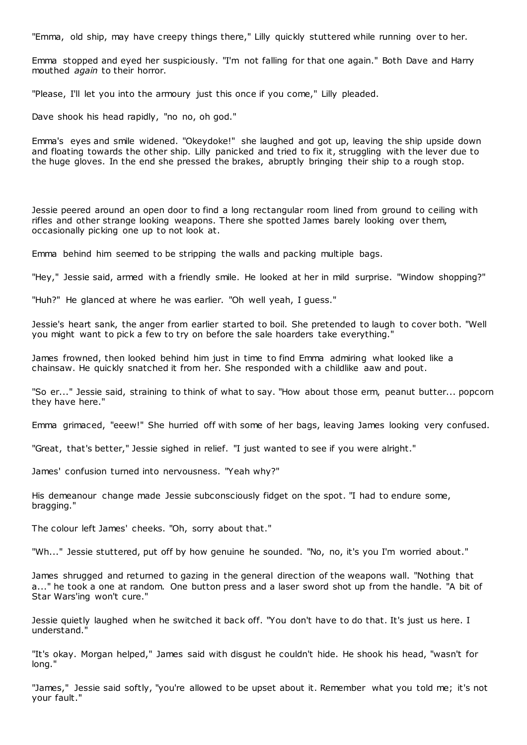"Emma, old ship, may have creepy things there," Lilly quickly stuttered while running over to her.

Emma stopped and eyed her suspiciously. "I'm not falling for that one again." Both Dave and Harry mouthed *again* to their horror.

"Please, I'll let you into the armoury just this once if you come," Lilly pleaded.

Dave shook his head rapidly, "no no, oh god."

Emma's eyes and smile widened. "Okeydoke!" she laughed and got up, leaving the ship upside down and floating towards the other ship. Lilly panicked and tried to fix it, struggling with the lever due to the huge gloves. In the end she pressed the brakes, abruptly bringing their ship to a rough stop.

Jessie peered around an open door to find a long rectangular room lined from ground to ceiling with rifles and other strange looking weapons. There she spotted James barely looking over them, occasionally picking one up to not look at.

Emma behind him seemed to be stripping the walls and packing multiple bags.

"Hey," Jessie said, armed with a friendly smile. He looked at her in mild surprise. "Window shopping?"

"Huh?" He glanced at where he was earlier. "Oh well yeah, I guess."

Jessie's heart sank, the anger from earlier started to boil. She pretended to laugh to cover both. "Well you might want to pick a few to try on before the sale hoarders take everything."

James frowned, then looked behind him just in time to find Emma admiring what looked like a chainsaw. He quickly snatched it from her. She responded with a childlike aaw and pout.

"So er..." Jessie said, straining to think of what to say. "How about those erm, peanut butter... popcorn they have here."

Emma grimaced, "eeew!" She hurried off with some of her bags, leaving James looking very confused.

"Great, that's better," Jessie sighed in relief. "I just wanted to see if you were alright."

James' confusion turned into nervousness. "Yeah why?"

His demeanour change made Jessie subconsciously fidget on the spot. "I had to endure some, bragging."

The colour left James' cheeks. "Oh, sorry about that."

"Wh..." Jessie stuttered, put off by how genuine he sounded. "No, no, it's you I'm worried about."

James shrugged and returned to gazing in the general direction of the weapons wall. "Nothing that a..." he took a one at random. One button press and a laser sword shot up from the handle. "A bit of Star Wars'ing won't cure."

Jessie quietly laughed when he switched it back off. "You don't have to do that. It's just us here. I understand."

"It's okay. Morgan helped," James said with disgust he couldn't hide. He shook his head, "wasn't for long."

"James," Jessie said softly, "you're allowed to be upset about it. Remember what you told me; it's not your fault."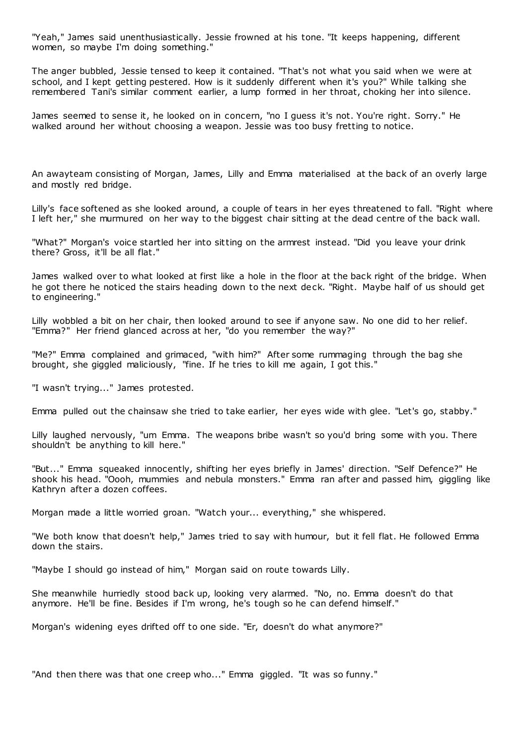"Yeah," James said unenthusiastically. Jessie frowned at his tone. "It keeps happening, different women, so maybe I'm doing something."

The anger bubbled, Jessie tensed to keep it contained. "That's not what you said when we were at school, and I kept getting pestered. How is it suddenly different when it's you?" While talking she remembered Tani's similar comment earlier, a lump formed in her throat, choking her into silence.

James seemed to sense it, he looked on in concern, "no I guess it's not. You're right. Sorry." He walked around her without choosing a weapon. Jessie was too busy fretting to notice.

An awayteam consisting of Morgan, James, Lilly and Emma materialised at the back of an overly large and mostly red bridge.

Lilly's face softened as she looked around, a couple of tears in her eyes threatened to fall. "Right where I left her," she murmured on her way to the biggest chair sitting at the dead centre of the back wall.

"What?" Morgan's voice startled her into sitting on the armrest instead. "Did you leave your drink there? Gross, it'll be all flat."

James walked over to what looked at first like a hole in the floor at the back right of the bridge. When he got there he noticed the stairs heading down to the next deck. "Right. Maybe half of us should get to engineering."

Lilly wobbled a bit on her chair, then looked around to see if anyone saw. No one did to her relief. "Emma?" Her friend glanced across at her, "do you remember the way?"

"Me?" Emma complained and grimaced, "with him?" After some rummaging through the bag she brought, she giggled maliciously, "fine. If he tries to kill me again, I got this."

"I wasn't trying..." James protested.

Emma pulled out the chainsaw she tried to take earlier, her eyes wide with glee. "Let's go, stabby."

Lilly laughed nervously, "um Emma. The weapons bribe wasn't so you'd bring some with you. There shouldn't be anything to kill here."

"But..." Emma squeaked innocently, shifting her eyes briefly in James' direction. "Self Defence?" He shook his head. "Oooh, mummies and nebula monsters." Emma ran after and passed him, giggling like Kathryn after a dozen coffees.

Morgan made a little worried groan. "Watch your... everything," she whispered.

"We both know that doesn't help," James tried to say with humour, but it fell flat. He followed Emma down the stairs.

"Maybe I should go instead of him," Morgan said on route towards Lilly.

She meanwhile hurriedly stood back up, looking very alarmed. "No, no. Emma doesn't do that anymore. He'll be fine. Besides if I'm wrong, he's tough so he can defend himself."

Morgan's widening eyes drifted off to one side. "Er, doesn't do what anymore?"

"And then there was that one creep who..." Emma giggled. "It was so funny."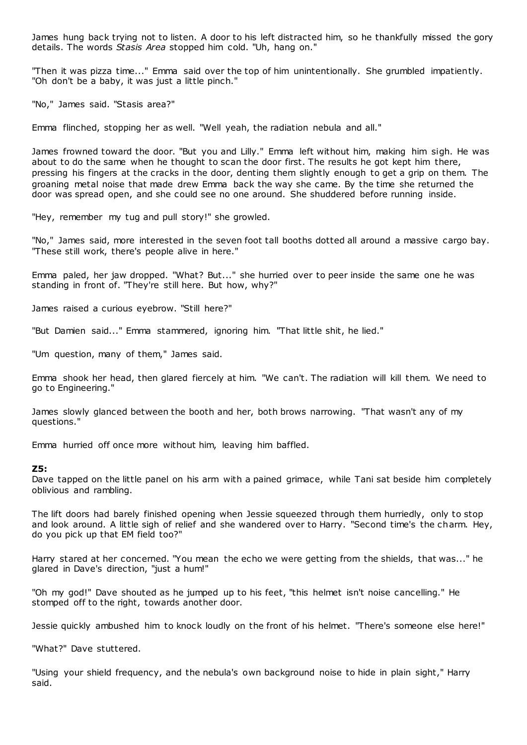James hung back trying not to listen. A door to his left distracted him, so he thankfully missed the gory details. The words *Stasis Area* stopped him cold. "Uh, hang on."

"Then it was pizza time..." Emma said over the top of him unintentionally. She grumbled impatiently. "Oh don't be a baby, it was just a little pinch."

"No," James said. "Stasis area?"

Emma flinched, stopping her as well. "Well yeah, the radiation nebula and all."

James frowned toward the door. "But you and Lilly." Emma left without him, making him sigh. He was about to do the same when he thought to scan the door first. The results he got kept him there, pressing his fingers at the cracks in the door, denting them slightly enough to get a grip on them. The groaning metal noise that made drew Emma back the way she came. By the time she returned the door was spread open, and she could see no one around. She shuddered before running inside.

"Hey, remember my tug and pull story!" she growled.

"No," James said, more interested in the seven foot tall booths dotted all around a massive cargo bay. "These still work, there's people alive in here."

Emma paled, her jaw dropped. "What? But..." she hurried over to peer inside the same one he was standing in front of. "They're still here. But how, why?"

James raised a curious eyebrow. "Still here?"

"But Damien said..." Emma stammered, ignoring him. "That little shit, he lied."

"Um question, many of them," James said.

Emma shook her head, then glared fiercely at him. "We can't. The radiation will kill them. We need to go to Engineering."

James slowly glanced between the booth and her, both brows narrowing. "That wasn't any of my questions."

Emma hurried off once more without him, leaving him baffled.

#### **Z5:**

Dave tapped on the little panel on his arm with a pained grimace, while Tani sat beside him completely oblivious and rambling.

The lift doors had barely finished opening when Jessie squeezed through them hurriedly, only to stop and look around. A little sigh of relief and she wandered over to Harry. "Second time's the charm. Hey, do you pick up that EM field too?"

Harry stared at her concerned. "You mean the echo we were getting from the shields, that was..." he glared in Dave's direction, "just a hum!"

"Oh my god!" Dave shouted as he jumped up to his feet, "this helmet isn't noise cancelling." He stomped off to the right, towards another door.

Jessie quickly ambushed him to knock loudly on the front of his helmet. "There's someone else here!"

"What?" Dave stuttered.

"Using your shield frequency, and the nebula's own background noise to hide in plain sight," Harry said.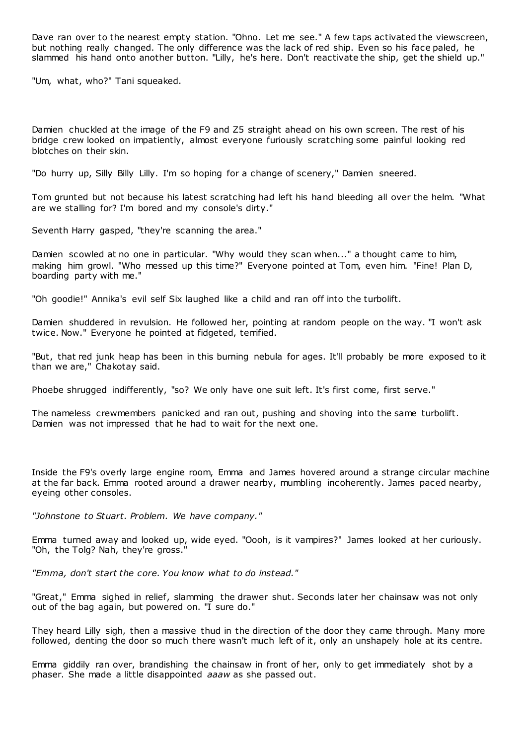Dave ran over to the nearest empty station. "Ohno. Let me see." A few taps activated the viewscreen, but nothing really changed. The only difference was the lack of red ship. Even so his face paled, he slammed his hand onto another button. "Lilly, he's here. Don't reactivate the ship, get the shield up."

"Um, what, who?" Tani squeaked.

Damien chuckled at the image of the F9 and Z5 straight ahead on his own screen. The rest of his bridge crew looked on impatiently, almost everyone furiously scratching some painful looking red blotches on their skin.

"Do hurry up, Silly Billy Lilly. I'm so hoping for a change of scenery," Damien sneered.

Tom grunted but not because his latest scratching had left his hand bleeding all over the helm. "What are we stalling for? I'm bored and my console's dirty."

Seventh Harry gasped, "they're scanning the area."

Damien scowled at no one in particular. "Why would they scan when..." a thought came to him, making him growl. "Who messed up this time?" Everyone pointed at Tom, even him. "Fine! Plan D, boarding party with me."

"Oh goodie!" Annika's evil self Six laughed like a child and ran off into the turbolift.

Damien shuddered in revulsion. He followed her, pointing at random people on the way. "I won't ask twice. Now." Everyone he pointed at fidgeted, terrified.

"But, that red junk heap has been in this burning nebula for ages. It'll probably be more exposed to it than we are," Chakotay said.

Phoebe shrugged indifferently, "so? We only have one suit left. It's first come, first serve."

The nameless crewmembers panicked and ran out, pushing and shoving into the same turbolift. Damien was not impressed that he had to wait for the next one.

Inside the F9's overly large engine room, Emma and James hovered around a strange circular machine at the far back. Emma rooted around a drawer nearby, mumbling incoherently. James paced nearby, eyeing other consoles.

*"Johnstone to Stuart. Problem. We have company."*

Emma turned away and looked up, wide eyed. "Oooh, is it vampires?" James looked at her curiously. "Oh, the Tolg? Nah, they're gross.

*"Emma, don't start the core. You know what to do instead."*

"Great," Emma sighed in relief, slamming the drawer shut. Seconds later her chainsaw was not only out of the bag again, but powered on. "I sure do."

They heard Lilly sigh, then a massive thud in the direction of the door they came through. Many more followed, denting the door so much there wasn't much left of it, only an unshapely hole at its centre.

Emma giddily ran over, brandishing the chainsaw in front of her, only to get immediately shot by a phaser. She made a little disappointed *aaaw* as she passed out.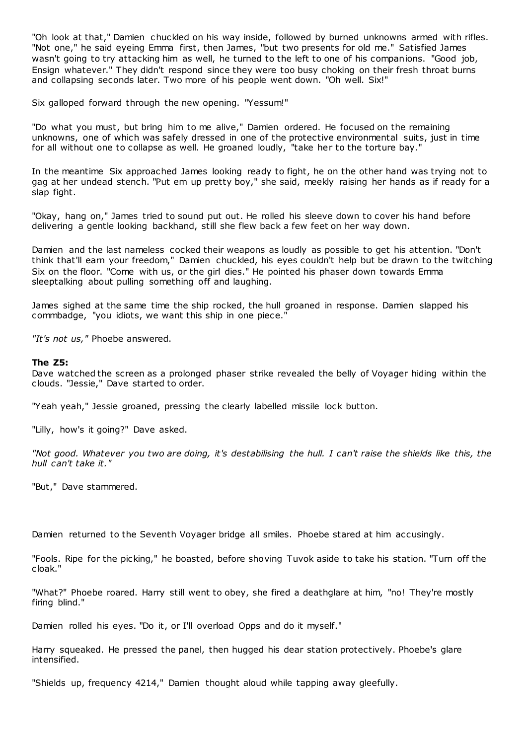"Oh look at that," Damien chuckled on his way inside, followed by burned unknowns armed with rifles. "Not one," he said eyeing Emma first, then James, "but two presents for old me." Satisfied James wasn't going to try attacking him as well, he turned to the left to one of his companions. "Good job, Ensign whatever." They didn't respond since they were too busy choking on their fresh throat burns and collapsing seconds later. Two more of his people went down. "Oh well. Six!"

Six galloped forward through the new opening. "Yessum!"

"Do what you must, but bring him to me alive," Damien ordered. He focused on the remaining unknowns, one of which was safely dressed in one of the protective environmental suits, just in time for all without one to collapse as well. He groaned loudly, "take her to the torture bay."

In the meantime Six approached James looking ready to fight, he on the other hand was trying not to gag at her undead stench. "Put em up pretty boy," she said, meekly raising her hands as if ready for a slap fight.

"Okay, hang on," James tried to sound put out. He rolled his sleeve down to cover his hand before delivering a gentle looking backhand, still she flew back a few feet on her way down.

Damien and the last nameless cocked their weapons as loudly as possible to get his attention. "Don't think that'll earn your freedom," Damien chuckled, his eyes couldn't help but be drawn to the twitching Six on the floor. "Come with us, or the girl dies." He pointed his phaser down towards Emma sleeptalking about pulling something off and laughing.

James sighed at the same time the ship rocked, the hull groaned in response. Damien slapped his commbadge, "you idiots, we want this ship in one piece."

*"It's not us,"* Phoebe answered.

## **The Z5:**

Dave watched the screen as a prolonged phaser strike revealed the belly of Voyager hiding within the clouds. "Jessie," Dave started to order.

"Yeah yeah," Jessie groaned, pressing the clearly labelled missile lock button.

"Lilly, how's it going?" Dave asked.

*"Not good. Whatever you two are doing, it's destabilising the hull. I can't raise the shields like this, the hull can't take it."*

"But," Dave stammered.

Damien returned to the Seventh Voyager bridge all smiles. Phoebe stared at him accusingly.

"Fools. Ripe for the picking," he boasted, before shoving Tuvok aside to take his station. "Turn off the cloak."

"What?" Phoebe roared. Harry still went to obey, she fired a deathglare at him, "no! They're mostly firing blind."

Damien rolled his eyes. "Do it, or I'll overload Opps and do it myself."

Harry squeaked. He pressed the panel, then hugged his dear station protectively. Phoebe's glare intensified.

"Shields up, frequency 4214," Damien thought aloud while tapping away gleefully.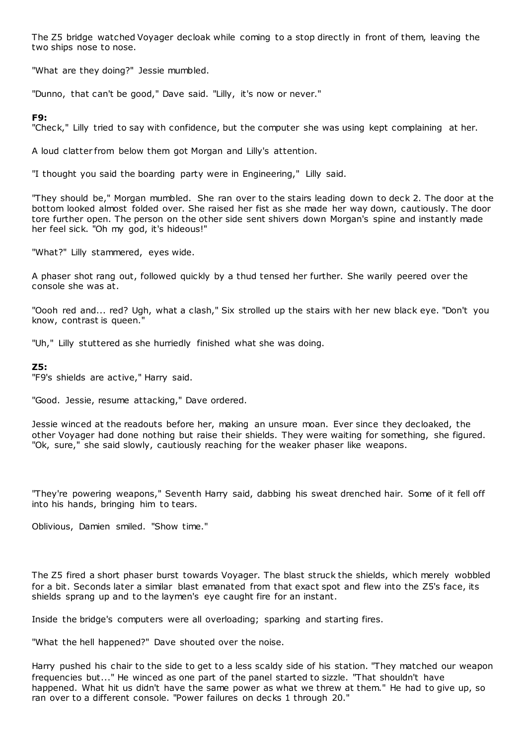The Z5 bridge watched Voyager decloak while coming to a stop directly in front of them, leaving the two ships nose to nose.

"What are they doing?" Jessie mumbled.

"Dunno, that can't be good," Dave said. "Lilly, it's now or never."

# **F9:**

"Check," Lilly tried to say with confidence, but the computer she was using kept complaining at her.

A loud clatter from below them got Morgan and Lilly's attention.

"I thought you said the boarding party were in Engineering," Lilly said.

"They should be," Morgan mumbled. She ran over to the stairs leading down to deck 2. The door at the bottom looked almost folded over. She raised her fist as she made her way down, cautiously. The door tore further open. The person on the other side sent shivers down Morgan's spine and instantly made her feel sick. "Oh my god, it's hideous!"

"What?" Lilly stammered, eyes wide.

A phaser shot rang out, followed quickly by a thud tensed her further. She warily peered over the console she was at.

"Oooh red and... red? Ugh, what a clash," Six strolled up the stairs with her new black eye. "Don't you know, contrast is queen."

"Uh," Lilly stuttered as she hurriedly finished what she was doing.

# **Z5:**

"F9's shields are active," Harry said.

"Good. Jessie, resume attacking," Dave ordered.

Jessie winced at the readouts before her, making an unsure moan. Ever since they decloaked, the other Voyager had done nothing but raise their shields. They were waiting for something, she figured. "Ok, sure," she said slowly, cautiously reaching for the weaker phaser like weapons.

"They're powering weapons," Seventh Harry said, dabbing his sweat drenched hair. Some of it fell off into his hands, bringing him to tears.

Oblivious, Damien smiled. "Show time."

The Z5 fired a short phaser burst towards Voyager. The blast struck the shields, which merely wobbled for a bit. Seconds later a similar blast emanated from that exact spot and flew into the Z5's face, its shields sprang up and to the laymen's eye caught fire for an instant.

Inside the bridge's computers were all overloading; sparking and starting fires.

"What the hell happened?" Dave shouted over the noise.

Harry pushed his chair to the side to get to a less scaldy side of his station. "They matched our weapon frequencies but..." He winced as one part of the panel started to sizzle. "That shouldn't have happened. What hit us didn't have the same power as what we threw at them." He had to give up, so ran over to a different console. "Power failures on decks 1 through 20."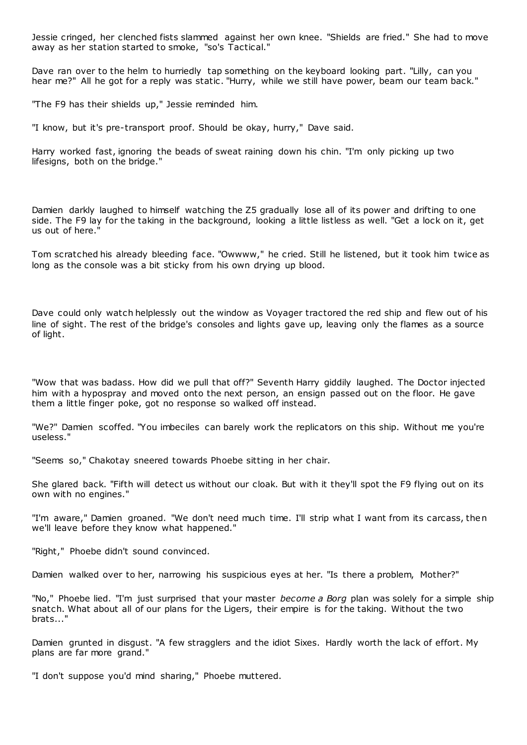Jessie cringed, her clenched fists slammed against her own knee. "Shields are fried." She had to move away as her station started to smoke, "so's Tactical."

Dave ran over to the helm to hurriedly tap something on the keyboard looking part. "Lilly, can you hear me?" All he got for a reply was static. "Hurry, while we still have power, beam our team back."

"The F9 has their shields up," Jessie reminded him.

"I know, but it's pre-transport proof. Should be okay, hurry," Dave said.

Harry worked fast, ignoring the beads of sweat raining down his chin. "I'm only picking up two lifesigns, both on the bridge."

Damien darkly laughed to himself watching the Z5 gradually lose all of its power and drifting to one side. The F9 lay for the taking in the background, looking a little listless as well. "Get a lock on it, get us out of here."

Tom scratched his already bleeding face. "Owwww," he cried. Still he listened, but it took him twice as long as the console was a bit sticky from his own drying up blood.

Dave could only watch helplessly out the window as Voyager tractored the red ship and flew out of his line of sight. The rest of the bridge's consoles and lights gave up, leaving only the flames as a source of light.

"Wow that was badass. How did we pull that off?" Seventh Harry giddily laughed. The Doctor injected him with a hypospray and moved onto the next person, an ensign passed out on the floor. He gave them a little finger poke, got no response so walked off instead.

"We?" Damien scoffed. "You imbeciles can barely work the replicators on this ship. Without me you're useless."

"Seems so," Chakotay sneered towards Phoebe sitting in her chair.

She glared back. "Fifth will detect us without our cloak. But with it they'll spot the F9 flying out on its own with no engines."

"I'm aware," Damien groaned. "We don't need much time. I'll strip what I want from its carcass, then we'll leave before they know what happened."

"Right," Phoebe didn't sound convinced.

Damien walked over to her, narrowing his suspicious eyes at her. "Is there a problem, Mother?"

"No," Phoebe lied. "I'm just surprised that your master *become a Borg* plan was solely for a simple ship snatch. What about all of our plans for the Ligers, their empire is for the taking. Without the two brats..."

Damien grunted in disgust. "A few stragglers and the idiot Sixes. Hardly worth the lack of effort. My plans are far more grand."

"I don't suppose you'd mind sharing," Phoebe muttered.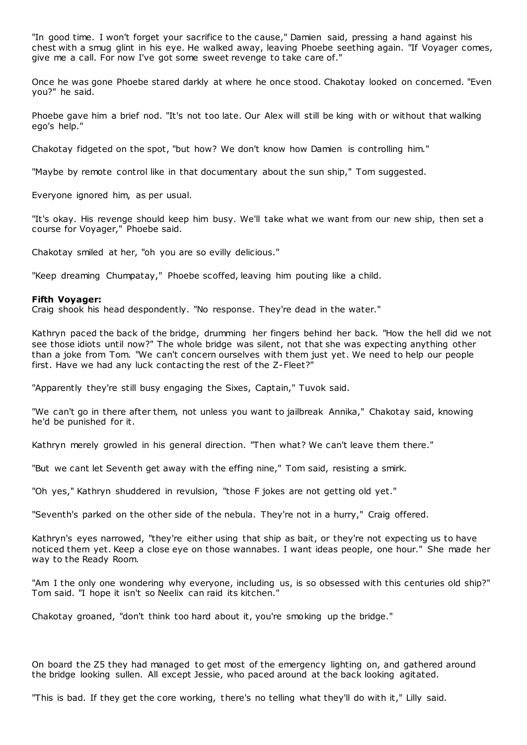"In good time. I won't forget your sacrifice to the cause," Damien said, pressing a hand against his chest with a smug glint in his eye. He walked away, leaving Phoebe seething again. "If Voyager comes, give me a call. For now I've got some sweet revenge to take care of."

Once he was gone Phoebe stared darkly at where he once stood. Chakotay looked on concerned. "Even you?" he said.

Phoebe gave him a brief nod. "It's not too late. Our Alex will still be king with or without that walking ego's help."

Chakotay fidgeted on the spot, "but how? We don't know how Damien is controlling him."

"Maybe by remote control like in that documentary about the sun ship," Tom suggested.

Everyone ignored him, as per usual.

"It's okay. His revenge should keep him busy. We'll take what we want from our new ship, then set a course for Voyager," Phoebe said.

Chakotay smiled at her, "oh you are so evilly delicious."

"Keep dreaming Chumpatay," Phoebe scoffed, leaving him pouting like a child.

## **Fifth Voyager:**

Craig shook his head despondently. "No response. They're dead in the water."

Kathryn paced the back of the bridge, drumming her fingers behind her back. "How the hell did we not see those idiots until now?" The whole bridge was silent, not that she was expecting anything other than a joke from Tom. "We can't concern ourselves with them just yet. We need to help our people first. Have we had any luck contac ting the rest of the Z-Fleet?"

"Apparently they're still busy engaging the Sixes, Captain," Tuvok said.

"We can't go in there after them, not unless you want to jailbreak Annika," Chakotay said, knowing he'd be punished for it.

Kathryn merely growled in his general direction. "Then what? We can't leave them there."

"But we cant let Seventh get away with the effing nine," Tom said, resisting a smirk.

"Oh yes," Kathryn shuddered in revulsion, "those F jokes are not getting old yet."

"Seventh's parked on the other side of the nebula. They're not in a hurry," Craig offered.

Kathryn's eyes narrowed, "they're either using that ship as bait, or they're not expecting us to have noticed them yet. Keep a close eye on those wannabes. I want ideas people, one hour." She made her way to the Ready Room.

"Am I the only one wondering why everyone, including us, is so obsessed with this centuries old ship?" Tom said. "I hope it isn't so Neelix can raid its kitchen."

Chakotay groaned, "don't think too hard about it, you're smoking up the bridge."

On board the Z5 they had managed to get most of the emergency lighting on, and gathered around the bridge looking sullen. All except Jessie, who paced around at the back looking agitated.

"This is bad. If they get the core working, there's no telling what they'll do with it," Lilly said.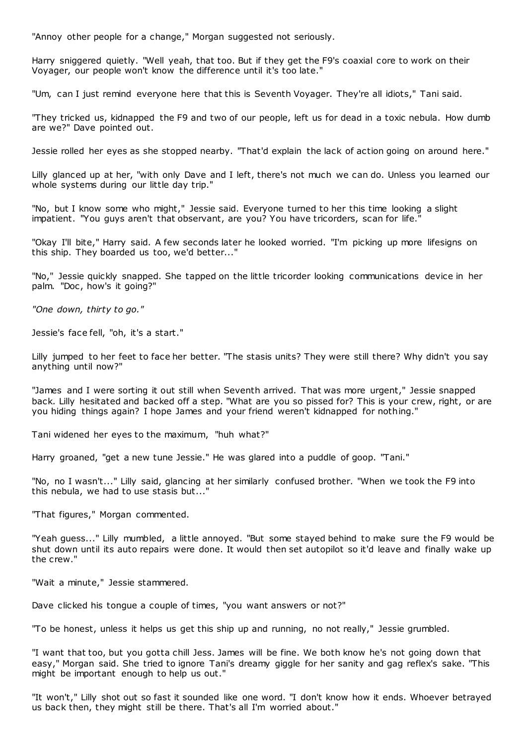"Annoy other people for a change," Morgan suggested not seriously.

Harry sniggered quietly. "Well yeah, that too. But if they get the F9's coaxial core to work on their Voyager, our people won't know the difference until it's too late."

"Um, can I just remind everyone here that this is Seventh Voyager. They're all idiots," Tani said.

"They tricked us, kidnapped the F9 and two of our people, left us for dead in a toxic nebula. How dumb are we?" Dave pointed out.

Jessie rolled her eyes as she stopped nearby. "That'd explain the lack of action going on around here."

Lilly glanced up at her, "with only Dave and I left, there's not much we can do. Unless you learned our whole systems during our little day trip."

"No, but I know some who might," Jessie said. Everyone turned to her this time looking a slight impatient. "You guys aren't that observant, are you? You have tricorders, scan for life."

"Okay I'll bite," Harry said. A few seconds later he looked worried. "I'm picking up more lifesigns on this ship. They boarded us too, we'd better..."

"No," Jessie quickly snapped. She tapped on the little tricorder looking communications device in her palm. "Doc , how's it going?"

*"One down, thirty to go."*

Jessie's face fell, "oh, it's a start."

Lilly jumped to her feet to face her better. "The stasis units? They were still there? Why didn't you say anything until now?"

"James and I were sorting it out still when Seventh arrived. That was more urgent," Jessie snapped back. Lilly hesitated and backed off a step. "What are you so pissed for? This is your crew, right, or are you hiding things again? I hope James and your friend weren't kidnapped for nothing."

Tani widened her eyes to the maximum, "huh what?"

Harry groaned, "get a new tune Jessie." He was glared into a puddle of goop. "Tani."

"No, no I wasn't..." Lilly said, glancing at her similarly confused brother. "When we took the F9 into this nebula, we had to use stasis but...'

"That figures," Morgan commented.

"Yeah guess..." Lilly mumbled, a little annoyed. "But some stayed behind to make sure the F9 would be shut down until its auto repairs were done. It would then set autopilot so it'd leave and finally wake up the crew."

"Wait a minute," Jessie stammered.

Dave clicked his tongue a couple of times, "you want answers or not?"

"To be honest, unless it helps us get this ship up and running, no not really," Jessie grumbled.

"I want that too, but you gotta chill Jess. James will be fine. We both know he's not going down that easy," Morgan said. She tried to ignore Tani's dreamy giggle for her sanity and gag reflex's sake. "This might be important enough to help us out."

"It won't," Lilly shot out so fast it sounded like one word. "I don't know how it ends. Whoever betrayed us back then, they might still be there. That's all I'm worried about."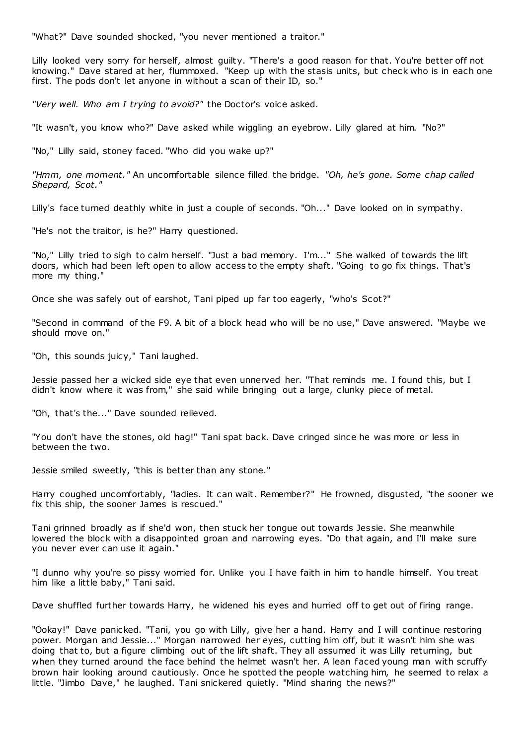"What?" Dave sounded shocked, "you never mentioned a traitor."

Lilly looked very sorry for herself, almost guilty. "There's a good reason for that. You're better off not knowing." Dave stared at her, flummoxed. "Keep up with the stasis units, but check who is in each one first. The pods don't let anyone in without a scan of their ID, so."

*"Very well. Who am I trying to avoid?"* the Doctor's voice asked.

"It wasn't, you know who?" Dave asked while wiggling an eyebrow. Lilly glared at him. "No?"

"No," Lilly said, stoney faced. "Who did you wake up?"

*"Hmm, one moment."* An uncomfortable silence filled the bridge. *"Oh, he's gone. Some chap called Shepard, Scot."*

Lilly's face turned deathly white in just a couple of seconds. "Oh..." Dave looked on in sympathy.

"He's not the traitor, is he?" Harry questioned.

"No," Lilly tried to sigh to calm herself. "Just a bad memory. I'm..." She walked of towards the lift doors, which had been left open to allow access to the empty shaft. "Going to go fix things. That's more my thing."

Once she was safely out of earshot, Tani piped up far too eagerly, "who's Scot?"

"Second in command of the F9. A bit of a block head who will be no use," Dave answered. "Maybe we should move on."

"Oh, this sounds juicy," Tani laughed.

Jessie passed her a wicked side eye that even unnerved her. "That reminds me. I found this, but I didn't know where it was from," she said while bringing out a large, clunky piece of metal.

"Oh, that's the..." Dave sounded relieved.

"You don't have the stones, old hag!" Tani spat back. Dave cringed since he was more or less in between the two.

Jessie smiled sweetly, "this is better than any stone."

Harry coughed uncomfortably, "ladies. It can wait. Remember?" He frowned, disgusted, "the sooner we fix this ship, the sooner James is rescued."

Tani grinned broadly as if she'd won, then stuck her tongue out towards Jessie. She meanwhile lowered the block with a disappointed groan and narrowing eyes. "Do that again, and I'll make sure you never ever can use it again."

"I dunno why you're so pissy worried for. Unlike you I have faith in him to handle himself. You treat him like a little baby," Tani said.

Dave shuffled further towards Harry, he widened his eyes and hurried off to get out of firing range.

"Ookay!" Dave panicked. "Tani, you go with Lilly, give her a hand. Harry and I will continue restoring power. Morgan and Jessie..." Morgan narrowed her eyes, cutting him off, but it wasn't him she was doing that to, but a figure climbing out of the lift shaft. They all assumed it was Lilly returning, but when they turned around the face behind the helmet wasn't her. A lean faced young man with scruffy brown hair looking around cautiously. Once he spotted the people watching him, he seemed to relax a little. "Jimbo Dave," he laughed. Tani snickered quietly. "Mind sharing the news?"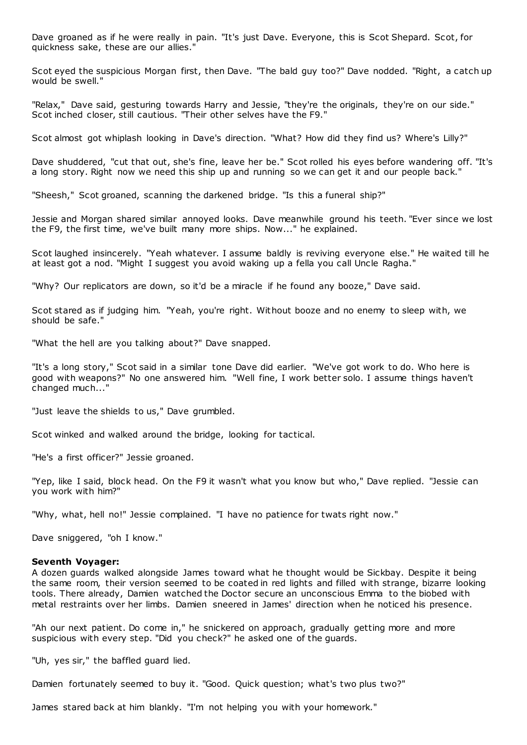Dave groaned as if he were really in pain. "It's just Dave. Everyone, this is Scot Shepard. Scot, for quickness sake, these are our allies."

Scot eyed the suspicious Morgan first, then Dave. "The bald guy too?" Dave nodded. "Right, a catch up would be swell."

"Relax," Dave said, gesturing towards Harry and Jessie, "they're the originals, they're on our side." Scot inched closer, still cautious. "Their other selves have the F9."

Scot almost got whiplash looking in Dave's direction. "What? How did they find us? Where's Lilly?"

Dave shuddered, "cut that out, she's fine, leave her be." Scot rolled his eyes before wandering off. "It's a long story. Right now we need this ship up and running so we can get it and our people back."

"Sheesh," Scot groaned, scanning the darkened bridge. "Is this a funeral ship?"

Jessie and Morgan shared similar annoyed looks. Dave meanwhile ground his teeth. "Ever since we lost the F9, the first time, we've built many more ships. Now..." he explained.

Scot laughed insincerely. "Yeah whatever. I assume baldly is reviving everyone else." He waited till he at least got a nod. "Might I suggest you avoid waking up a fella you call Uncle Ragha."

"Why? Our replicators are down, so it'd be a miracle if he found any booze," Dave said.

Scot stared as if judging him. "Yeah, you're right. Without booze and no enemy to sleep with, we should be safe."

"What the hell are you talking about?" Dave snapped.

"It's a long story," Scot said in a similar tone Dave did earlier. "We've got work to do. Who here is good with weapons?" No one answered him. "Well fine, I work better solo. I assume things haven't changed much..."

"Just leave the shields to us," Dave grumbled.

Scot winked and walked around the bridge, looking for tactical.

"He's a first officer?" Jessie groaned.

"Yep, like I said, block head. On the F9 it wasn't what you know but who," Dave replied. "Jessie can you work with him?"

"Why, what, hell no!" Jessie complained. "I have no patience for twats right now."

Dave sniggered, "oh I know."

#### **Seventh Voyager:**

A dozen guards walked alongside James toward what he thought would be Sickbay. Despite it being the same room, their version seemed to be coated in red lights and filled with strange, bizarre looking tools. There already, Damien watched the Doctor secure an unconscious Emma to the biobed with metal restraints over her limbs. Damien sneered in James' direction when he noticed his presence.

"Ah our next patient. Do come in," he snickered on approach, gradually getting more and more suspicious with every step. "Did you check?" he asked one of the guards.

"Uh, yes sir," the baffled guard lied.

Damien fortunately seemed to buy it. "Good. Quick question; what's two plus two?"

James stared back at him blankly. "I'm not helping you with your homework."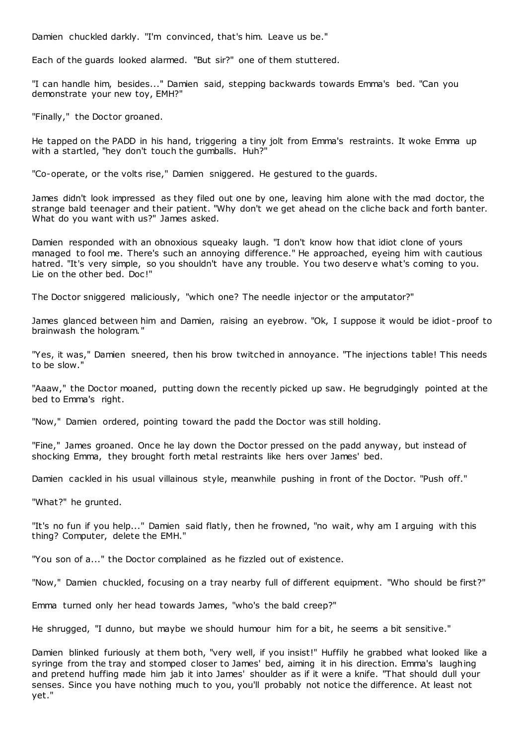Damien chuckled darkly. "I'm convinced, that's him. Leave us be."

Each of the guards looked alarmed. "But sir?" one of them stuttered.

"I can handle him, besides..." Damien said, stepping backwards towards Emma's bed. "Can you demonstrate your new toy, EMH?"

"Finally," the Doctor groaned.

He tapped on the PADD in his hand, triggering a tiny jolt from Emma's restraints. It woke Emma up with a startled, "hey don't touch the gumballs. Huh?"

"Co-operate, or the volts rise," Damien sniggered. He gestured to the guards.

James didn't look impressed as they filed out one by one, leaving him alone with the mad doctor, the strange bald teenager and their patient. "Why don't we get ahead on the cliche back and forth banter. What do you want with us?" James asked.

Damien responded with an obnoxious squeaky laugh. "I don't know how that idiot clone of yours managed to fool me. There's such an annoying difference." He approached, eyeing him with cautious hatred. "It's very simple, so you shouldn't have any trouble. You two deserve what's coming to you. Lie on the other bed. Doc!"

The Doctor sniggered maliciously, "which one? The needle injector or the amputator?"

James glanced between him and Damien, raising an eyebrow. "Ok, I suppose it would be idiot -proof to brainwash the hologram."

"Yes, it was," Damien sneered, then his brow twitched in annoyance. "The injections table! This needs to be slow."

"Aaaw," the Doctor moaned, putting down the recently picked up saw. He begrudgingly pointed at the bed to Emma's right.

"Now," Damien ordered, pointing toward the padd the Doctor was still holding.

"Fine," James groaned. Once he lay down the Doctor pressed on the padd anyway, but instead of shocking Emma, they brought forth metal restraints like hers over James' bed.

Damien cackled in his usual villainous style, meanwhile pushing in front of the Doctor. "Push off."

"What?" he grunted.

"It's no fun if you help..." Damien said flatly, then he frowned, "no wait, why am I arguing with this thing? Computer, delete the EMH."

"You son of a..." the Doctor complained as he fizzled out of existence.

"Now," Damien chuckled, focusing on a tray nearby full of different equipment. "Who should be first?"

Emma turned only her head towards James, "who's the bald creep?"

He shrugged, "I dunno, but maybe we should humour him for a bit, he seems a bit sensitive."

Damien blinked furiously at them both, "very well, if you insist!" Huffily he grabbed what looked like a syringe from the tray and stomped closer to James' bed, aiming it in his direction. Emma's laughing and pretend huffing made him jab it into James' shoulder as if it were a knife. "That should dull your senses. Since you have nothing much to you, you'll probably not notice the difference. At least not yet."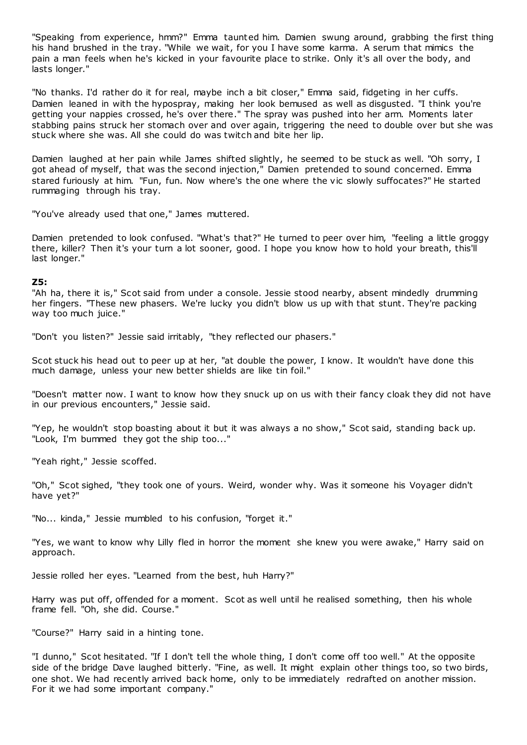"Speaking from experience, hmm?" Emma taunted him. Damien swung around, grabbing the first thing his hand brushed in the tray. "While we wait, for you I have some karma. A serum that mimics the pain a man feels when he's kicked in your favourite place to strike. Only it's all over the body, and lasts longer."

"No thanks. I'd rather do it for real, maybe inch a bit closer," Emma said, fidgeting in her cuffs. Damien leaned in with the hypospray, making her look bemused as well as disgusted. "I think you're getting your nappies crossed, he's over there." The spray was pushed into her arm. Moments later stabbing pains struck her stomach over and over again, triggering the need to double over but she was stuck where she was. All she could do was twitch and bite her lip.

Damien laughed at her pain while James shifted slightly, he seemed to be stuck as well. "Oh sorry, I got ahead of myself, that was the second injection," Damien pretended to sound concerned. Emma stared furiously at him. "Fun, fun. Now where's the one where the vic slowly suffocates?" He started rummaging through his tray.

"You've already used that one," James muttered.

Damien pretended to look confused. "What's that?" He turned to peer over him, "feeling a little groggy there, killer? Then it's your turn a lot sooner, good. I hope you know how to hold your breath, this'll last longer."

## **Z5:**

"Ah ha, there it is," Scot said from under a console. Jessie stood nearby, absent mindedly drumming her fingers. "These new phasers. We're lucky you didn't blow us up with that stunt. They're packing way too much juice."

"Don't you listen?" Jessie said irritably, "they reflected our phasers."

Scot stuck his head out to peer up at her, "at double the power, I know. It wouldn't have done this much damage, unless your new better shields are like tin foil."

"Doesn't matter now. I want to know how they snuck up on us with their fancy cloak they did not have in our previous encounters," Jessie said.

"Yep, he wouldn't stop boasting about it but it was always a no show," Scot said, standing back up. "Look, I'm bummed they got the ship too..."

"Yeah right," Jessie scoffed.

"Oh," Scot sighed, "they took one of yours. Weird, wonder why. Was it someone his Voyager didn't have yet?"

"No... kinda," Jessie mumbled to his confusion, "forget it."

"Yes, we want to know why Lilly fled in horror the moment she knew you were awake," Harry said on approach.

Jessie rolled her eyes. "Learned from the best, huh Harry?"

Harry was put off, offended for a moment. Scot as well until he realised something, then his whole frame fell. "Oh, she did. Course."

"Course?" Harry said in a hinting tone.

"I dunno," Scot hesitated. "If I don't tell the whole thing, I don't come off too well." At the opposite side of the bridge Dave laughed bitterly. "Fine, as well. It might explain other things too, so two birds, one shot. We had recently arrived back home, only to be immediately redrafted on another mission. For it we had some important company."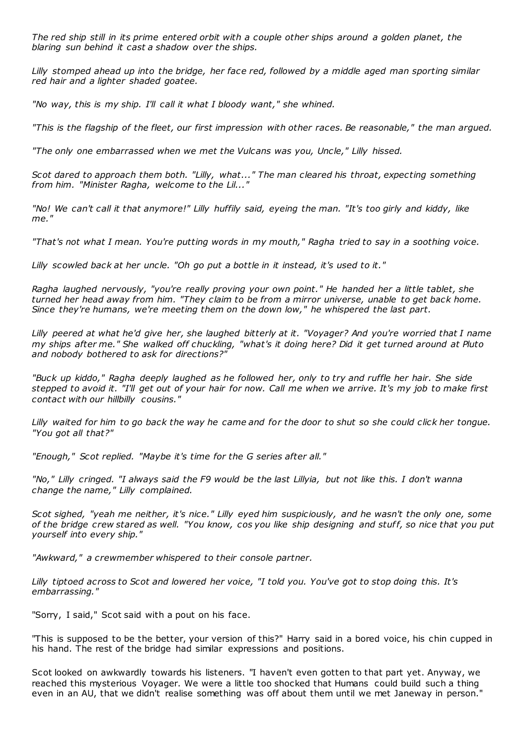*The red ship still in its prime entered orbit with a couple other ships around a golden planet, the blaring sun behind it cast a shadow over the ships.*

*Lilly stomped ahead up into the bridge, her face red, followed by a middle aged man sporting similar red hair and a lighter shaded goatee.*

*"No way, this is my ship. I'll call it what I bloody want," she whined.*

*"This is the flagship of the fleet, our first impression with other races. Be reasonable," the man argued.*

*"The only one embarrassed when we met the Vulcans was you, Uncle," Lilly hissed.*

*Scot dared to approach them both. "Lilly, what..." The man cleared his throat, expecting something from him. "Minister Ragha, welcome to the Lil..."*

*"No! We can't call it that anymore!" Lilly huffily said, eyeing the man. "It's too girly and kiddy, like me."*

*"That's not what I mean. You're putting words in my mouth," Ragha tried to say in a soothing voice.*

*Lilly scowled back at her uncle. "Oh go put a bottle in it instead, it's used to it."*

*Ragha laughed nervously, "you're really proving your own point." He handed her a little tablet, she turned her head away from him. "They claim to be from a mirror universe, unable to get back home. Since they're humans, we're meeting them on the down low," he whispered the last part.*

*Lilly peered at what he'd give her, she laughed bitterly at it. "Voyager? And you're worried that I name my ships after me." She walked off chuckling, "what's it doing here? Did it get turned around at Pluto and nobody bothered to ask for directions?"*

*"Buck up kiddo," Ragha deeply laughed as he followed her, only to try and ruffle her hair. She side stepped to avoid it. "I'll get out of your hair for now. Call me when we arrive. It's my job to make first contact with our hillbilly cousins."*

*Lilly waited for him to go back the way he came and for the door to shut so she could click her tongue. "You got all that?"*

*"Enough," Scot replied. "Maybe it's time for the G series after all."*

*"No," Lilly cringed. "I always said the F9 would be the last Lillyia, but not like this. I don't wanna change the name," Lilly complained.*

*Scot sighed, "yeah me neither, it's nice." Lilly eyed him suspiciously, and he wasn't the only one, some of the bridge crew stared as well. "You know, cos you like ship designing and stuff, so nice that you put yourself into every ship."*

*"Awkward," a crewmember whispered to their console partner.*

*Lilly tiptoed across to Scot and lowered her voice, "I told you. You've got to stop doing this. It's embarrassing."*

"Sorry, I said," Scot said with a pout on his face.

"This is supposed to be the better, your version of this?" Harry said in a bored voice, his chin cupped in his hand. The rest of the bridge had similar expressions and positions.

Scot looked on awkwardly towards his listeners. "I haven't even gotten to that part yet. Anyway, we reached this mysterious Voyager. We were a little too shocked that Humans could build such a thing even in an AU, that we didn't realise something was off about them until we met Janeway in person."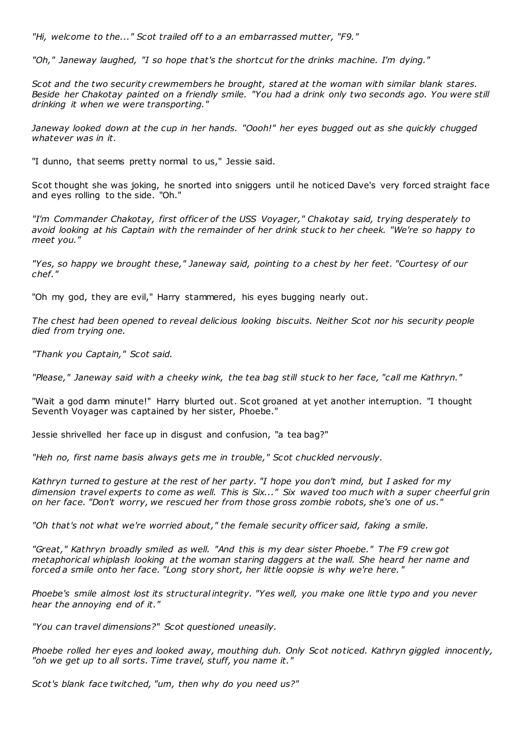*"Hi, welcome to the..." Scot trailed off to a an embarrassed mutter, "F9."*

*"Oh," Janeway laughed, "I so hope that's the shortcut for the drinks machine. I'm dying."*

*Scot and the two security crewmembers he brought, stared at the woman with similar blank stares. Beside her Chakotay painted on a friendly smile. "You had a drink only two seconds ago. You were still drinking it when we were transporting."*

*Janeway looked down at the cup in her hands. "Oooh!" her eyes bugged out as she quickly chugged whatever was in it.*

"I dunno, that seems pretty normal to us," Jessie said.

Scot thought she was joking, he snorted into sniggers until he noticed Dave's very forced straight face and eyes rolling to the side. "Oh."

*"I'm Commander Chakotay, first officer of the USS Voyager," Chakotay said, trying desperately to avoid looking at his Captain with the remainder of her drink stuck to her cheek. "We're so happy to meet you."*

*"Yes, so happy we brought these," Janeway said, pointing to a chest by her feet. "Courtesy of our chef."*

"Oh my god, they are evil," Harry stammered, his eyes bugging nearly out.

*The chest had been opened to reveal delicious looking biscuits. Neither Scot nor his security people died from trying one.*

*"Thank you Captain," Scot said.*

*"Please," Janeway said with a cheeky wink, the tea bag still stuck to her face, "call me Kathryn."*

"Wait a god damn minute!" Harry blurted out. Scot groaned at yet another interruption. "I thought Seventh Voyager was captained by her sister, Phoebe."

Jessie shrivelled her face up in disgust and confusion, "a tea bag?"

*"Heh no, first name basis always gets me in trouble," Scot chuckled nervously.*

*Kathryn turned to gesture at the rest of her party. "I hope you don't mind, but I asked for my dimension travel experts to come as well. This is Six..." Six waved too much with a super cheerful grin on her face. "Don't worry, we rescued her from those gross zombie robots, she's one of us."*

*"Oh that's not what we're worried about," the female security officer said, faking a smile.*

*"Great," Kathryn broadly smiled as well. "And this is my dear sister Phoebe." The F9 crew got metaphorical whiplash looking at the woman staring daggers at the wall. She heard her name and forced a smile onto her face. "Long story short, her little oopsie is why we're here. "*

*Phoebe's smile almost lost its structural integrity. "Yes well, you make one little typo and you never hear the annoying end of it."*

*"You can travel dimensions?" Scot questioned uneasily.*

*Phoebe rolled her eyes and looked away, mouthing duh. Only Scot noticed. Kathryn giggled innocently, "oh we get up to all sorts. Time travel, stuff, you name it."*

*Scot's blank face twitched, "um, then why do you need us?"*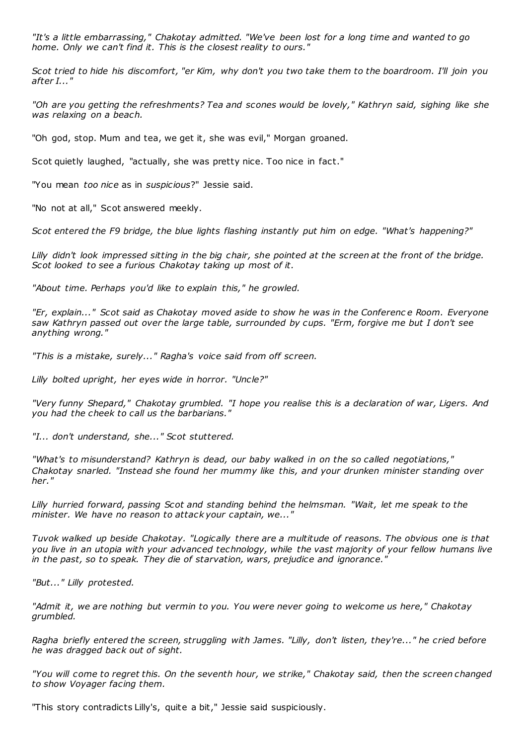*"It's a little embarrassing," Chakotay admitted. "We've been lost for a long time and wanted to go home. Only we can't find it. This is the closest reality to ours."*

*Scot tried to hide his discomfort, "er Kim, why don't you two take them to the boardroom. I'll join you after I..."*

*"Oh are you getting the refreshments? Tea and scones would be lovely," Kathryn said, sighing like she was relaxing on a beach.*

"Oh god, stop. Mum and tea, we get it, she was evil," Morgan groaned.

Scot quietly laughed, "actually, she was pretty nice. Too nice in fact."

"You mean *too nice* as in *suspicious*?" Jessie said.

"No not at all," Scot answered meekly.

*Scot entered the F9 bridge, the blue lights flashing instantly put him on edge. "What's happening?"*

*Lilly didn't look impressed sitting in the big chair, she pointed at the screen at the front of the bridge. Scot looked to see a furious Chakotay taking up most of it.*

*"About time. Perhaps you'd like to explain this," he growled.*

*"Er, explain..." Scot said as Chakotay moved aside to show he was in the Conferenc e Room. Everyone saw Kathryn passed out over the large table, surrounded by cups. "Erm, forgive me but I don't see anything wrong."*

*"This is a mistake, surely..." Ragha's voice said from off screen.*

*Lilly bolted upright, her eyes wide in horror. "Uncle?"*

*"Very funny Shepard," Chakotay grumbled. "I hope you realise this is a declaration of war, Ligers. And you had the cheek to call us the barbarians."*

*"I... don't understand, she..." Scot stuttered.*

*"What's to misunderstand? Kathryn is dead, our baby walked in on the so called negotiations," Chakotay snarled. "Instead she found her mummy like this, and your drunken minister standing over her."*

*Lilly hurried forward, passing Scot and standing behind the helmsman. "Wait, let me speak to the minister. We have no reason to attack your captain, we..."*

*Tuvok walked up beside Chakotay. "Logically there are a multitude of reasons. The obvious one is that you live in an utopia with your advanced technology, while the vast majority of your fellow humans live in the past, so to speak. They die of starvation, wars, prejudice and ignorance."*

*"But..." Lilly protested.*

*"Admit it, we are nothing but vermin to you. You were never going to welcome us here," Chakotay grumbled.*

*Ragha briefly entered the screen, struggling with James. "Lilly, don't listen, they're..." he cried before he was dragged back out of sight.*

*"You will come to regret this. On the seventh hour, we strike," Chakotay said, then the screen changed to show Voyager facing them.*

"This story contradicts Lilly's, quite a bit," Jessie said suspiciously.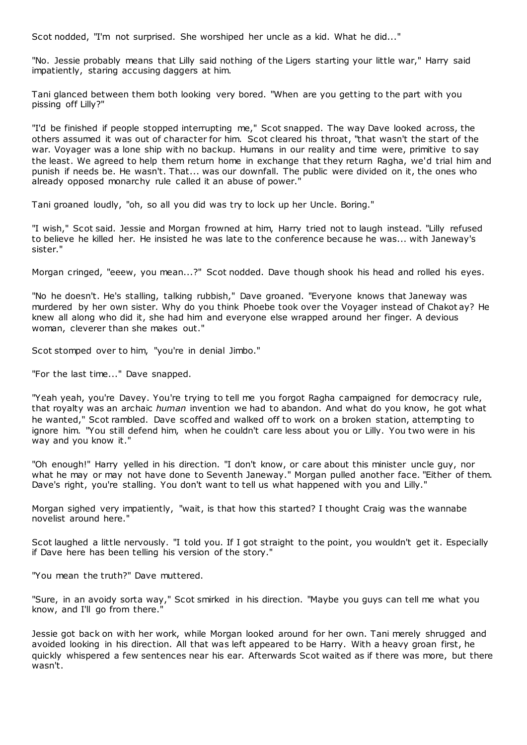Scot nodded, "I'm not surprised. She worshiped her uncle as a kid. What he did..."

"No. Jessie probably means that Lilly said nothing of the Ligers starting your little war," Harry said impatiently, staring accusing daggers at him.

Tani glanced between them both looking very bored. "When are you getting to the part with you pissing off Lilly?"

"I'd be finished if people stopped interrupting me," Scot snapped. The way Dave looked across, the others assumed it was out of character for him. Scot cleared his throat, "that wasn't the start of the war. Voyager was a lone ship with no backup. Humans in our reality and time were, primitive to say the least. We agreed to help them return home in exchange that they return Ragha, we'd trial him and punish if needs be. He wasn't. That... was our downfall. The public were divided on it, the ones who already opposed monarchy rule called it an abuse of power."

Tani groaned loudly, "oh, so all you did was try to lock up her Uncle. Boring."

"I wish," Scot said. Jessie and Morgan frowned at him, Harry tried not to laugh instead. "Lilly refused to believe he killed her. He insisted he was late to the conference because he was... with Janeway's sister."

Morgan cringed, "eeew, you mean...?" Scot nodded. Dave though shook his head and rolled his eyes.

"No he doesn't. He's stalling, talking rubbish," Dave groaned. "Everyone knows that Janeway was murdered by her own sister. Why do you think Phoebe took over the Voyager instead of Chakot ay? He knew all along who did it, she had him and everyone else wrapped around her finger. A devious woman, cleverer than she makes out."

Scot stomped over to him, "you're in denial Jimbo."

"For the last time..." Dave snapped.

"Yeah yeah, you're Davey. You're trying to tell me you forgot Ragha campaigned for democracy rule, that royalty was an archaic *human* invention we had to abandon. And what do you know, he got what he wanted," Scot rambled. Dave scoffed and walked off to work on a broken station, attempting to ignore him. "You still defend him, when he couldn't care less about you or Lilly. You two were in his way and you know it."

"Oh enough!" Harry yelled in his direction. "I don't know, or care about this minister uncle guy, nor what he may or may not have done to Seventh Janeway." Morgan pulled another face. "Either of them. Dave's right, you're stalling. You don't want to tell us what happened with you and Lilly."

Morgan sighed very impatiently, "wait, is that how this started? I thought Craig was the wannabe novelist around here."

Scot laughed a little nervously. "I told you. If I got straight to the point, you wouldn't get it. Especially if Dave here has been telling his version of the story."

"You mean the truth?" Dave muttered.

"Sure, in an avoidy sorta way," Scot smirked in his direction. "Maybe you guys can tell me what you know, and I'll go from there.

Jessie got back on with her work, while Morgan looked around for her own. Tani merely shrugged and avoided looking in his direction. All that was left appeared to be Harry. With a heavy groan first, he quickly whispered a few sentences near his ear. Afterwards Scot waited as if there was more, but there wasn't.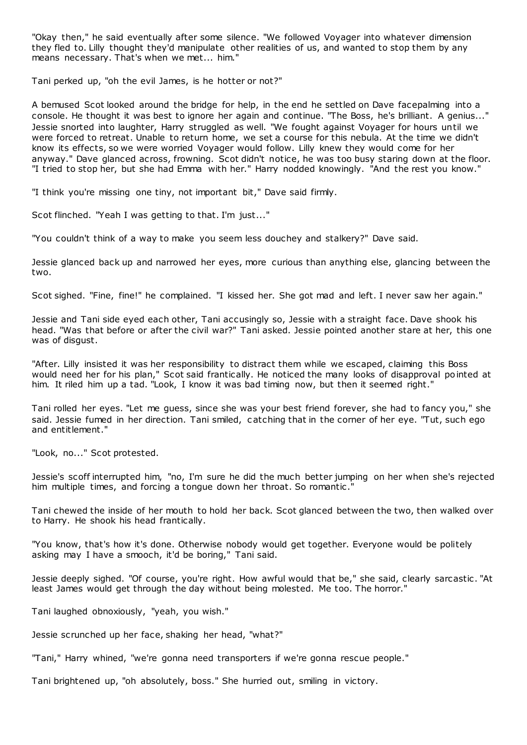"Okay then," he said eventually after some silence. "We followed Voyager into whatever dimension they fled to. Lilly thought they'd manipulate other realities of us, and wanted to stop them by any means necessary. That's when we met... him."

Tani perked up, "oh the evil James, is he hotter or not?"

A bemused Scot looked around the bridge for help, in the end he settled on Dave facepalming into a console. He thought it was best to ignore her again and continue. "The Boss, he's brilliant. A genius..." Jessie snorted into laughter, Harry struggled as well. "We fought against Voyager for hours until we were forced to retreat. Unable to return home, we set a course for this nebula. At the time we didn't know its effects, so we were worried Voyager would follow. Lilly knew they would come for her anyway." Dave glanced across, frowning. Scot didn't notice, he was too busy staring down at the floor. "I tried to stop her, but she had Emma with her." Harry nodded knowingly. "And the rest you know."

"I think you're missing one tiny, not important bit," Dave said firmly.

Scot flinched. "Yeah I was getting to that. I'm just..."

"You couldn't think of a way to make you seem less douchey and stalkery?" Dave said.

Jessie glanced back up and narrowed her eyes, more curious than anything else, glancing between the two.

Scot sighed. "Fine, fine!" he complained. "I kissed her. She got mad and left. I never saw her again."

Jessie and Tani side eyed each other, Tani accusingly so, Jessie with a straight face. Dave shook his head. "Was that before or after the civil war?" Tani asked. Jessie pointed another stare at her, this one was of disgust.

"After. Lilly insisted it was her responsibility to distract them while we escaped, claiming this Boss would need her for his plan," Scot said frantically. He noticed the many looks of disapproval pointed at him. It riled him up a tad. "Look, I know it was bad timing now, but then it seemed right."

Tani rolled her eyes. "Let me guess, since she was your best friend forever, she had to fancy you," she said. Jessie fumed in her direction. Tani smiled, c atching that in the corner of her eye. "Tut, such ego and entitlement."

"Look, no..." Scot protested.

Jessie's scoff interrupted him, "no, I'm sure he did the much better jumping on her when she's rejected him multiple times, and forcing a tongue down her throat. So romantic ."

Tani chewed the inside of her mouth to hold her back. Scot glanced between the two, then walked over to Harry. He shook his head frantically.

"You know, that's how it's done. Otherwise nobody would get together. Everyone would be politely asking may I have a smooch, it'd be boring," Tani said.

Jessie deeply sighed. "Of course, you're right. How awful would that be," she said, clearly sarcastic . "At least James would get through the day without being molested. Me too. The horror."

Tani laughed obnoxiously, "yeah, you wish."

Jessie scrunched up her face, shaking her head, "what?"

"Tani," Harry whined, "we're gonna need transporters if we're gonna rescue people."

Tani brightened up, "oh absolutely, boss." She hurried out, smiling in victory.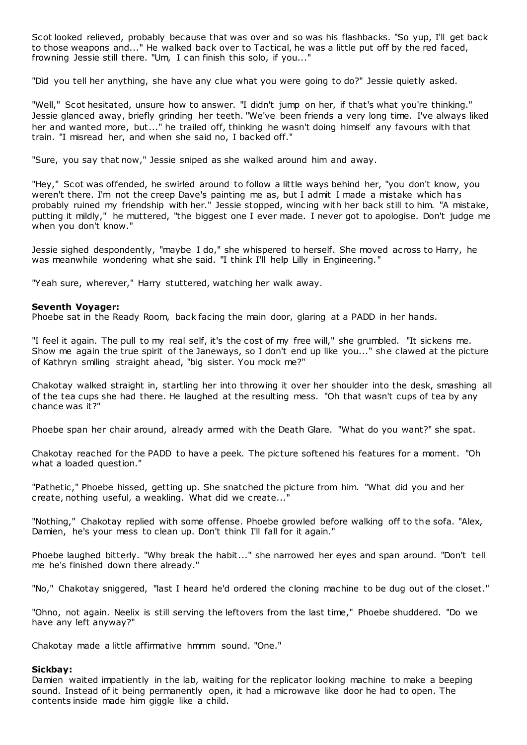Scot looked relieved, probably because that was over and so was his flashbacks. "So yup, I'll get back to those weapons and..." He walked back over to Tactical, he was a little put off by the red faced, frowning Jessie still there. "Um, I can finish this solo, if you..."

"Did you tell her anything, she have any clue what you were going to do?" Jessie quietly asked.

"Well," Scot hesitated, unsure how to answer. "I didn't jump on her, if that's what you're thinking." Jessie glanced away, briefly grinding her teeth. "We've been friends a very long time. I've always liked her and wanted more, but..." he trailed off, thinking he wasn't doing himself any favours with that train. "I misread her, and when she said no, I backed off."

"Sure, you say that now," Jessie sniped as she walked around him and away.

"Hey," Scot was offended, he swirled around to follow a little ways behind her, "you don't know, you weren't there. I'm not the creep Dave's painting me as, but I admit I made a mistake which has probably ruined my friendship with her." Jessie stopped, wincing with her back still to him. "A mistake, putting it mildly," he muttered, "the biggest one I ever made. I never got to apologise. Don't judge me when you don't know."

Jessie sighed despondently, "maybe I do," she whispered to herself. She moved across to Harry, he was meanwhile wondering what she said. "I think I'll help Lilly in Engineering."

"Yeah sure, wherever," Harry stuttered, watching her walk away.

# **Seventh Voyager:**

Phoebe sat in the Ready Room, back facing the main door, glaring at a PADD in her hands.

"I feel it again. The pull to my real self, it's the cost of my free will," she grumbled. "It sickens me. Show me again the true spirit of the Janeways, so I don't end up like you..." she clawed at the picture of Kathryn smiling straight ahead, "big sister. You mock me?"

Chakotay walked straight in, startling her into throwing it over her shoulder into the desk, smashing all of the tea cups she had there. He laughed at the resulting mess. "Oh that wasn't cups of tea by any chance was it?"

Phoebe span her chair around, already armed with the Death Glare. "What do you want?" she spat.

Chakotay reached for the PADD to have a peek. The picture softened his features for a moment. "Oh what a loaded question."

"Pathetic," Phoebe hissed, getting up. She snatched the picture from him. "What did you and her create, nothing useful, a weakling. What did we create..."

"Nothing," Chakotay replied with some offense. Phoebe growled before walking off to the sofa. "Alex, Damien, he's your mess to clean up. Don't think I'll fall for it again."

Phoebe laughed bitterly. "Why break the habit..." she narrowed her eyes and span around. "Don't tell me he's finished down there already."

"No," Chakotay sniggered, "last I heard he'd ordered the cloning machine to be dug out of the closet."

"Ohno, not again. Neelix is still serving the leftovers from the last time," Phoebe shuddered. "Do we have any left anyway?"

Chakotay made a little affirmative hmmm sound. "One."

# **Sickbay:**

Damien waited impatiently in the lab, waiting for the replicator looking machine to make a beeping sound. Instead of it being permanently open, it had a microwave like door he had to open. The contents inside made him giggle like a child.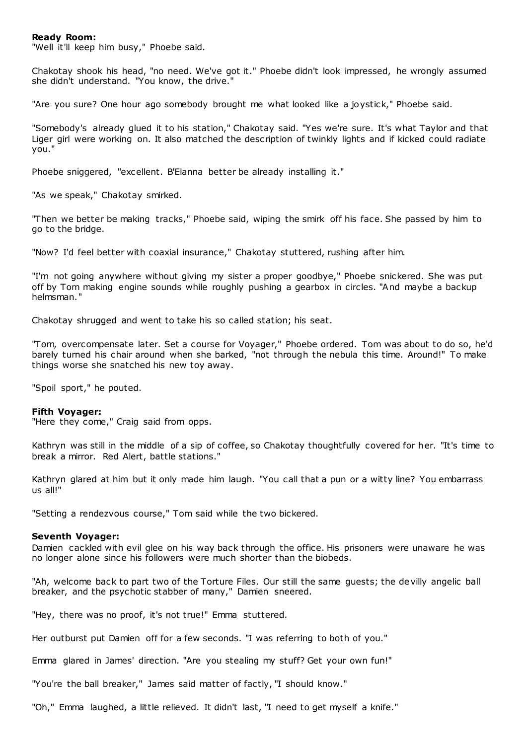## **Ready Room:**

"Well it'll keep him busy," Phoebe said.

Chakotay shook his head, "no need. We've got it." Phoebe didn't look impressed, he wrongly assumed she didn't understand. "You know, the drive."

"Are you sure? One hour ago somebody brought me what looked like a joystick," Phoebe said.

"Somebody's already glued it to his station," Chakotay said. "Yes we're sure. It's what Taylor and that Liger girl were working on. It also matched the description of twinkly lights and if kicked could radiate you."

Phoebe sniggered, "excellent. B'Elanna better be already installing it."

"As we speak," Chakotay smirked.

"Then we better be making tracks," Phoebe said, wiping the smirk off his face. She passed by him to go to the bridge.

"Now? I'd feel better with coaxial insurance," Chakotay stuttered, rushing after him.

"I'm not going anywhere without giving my sister a proper goodbye," Phoebe snickered. She was put off by Tom making engine sounds while roughly pushing a gearbox in circles. "And maybe a backup helmsman."

Chakotay shrugged and went to take his so called station; his seat.

"Tom, overcompensate later. Set a course for Voyager," Phoebe ordered. Tom was about to do so, he'd barely turned his chair around when she barked, "not through the nebula this time. Around!" To make things worse she snatched his new toy away.

"Spoil sport," he pouted.

#### **Fifth Voyager:**

"Here they come," Craig said from opps.

Kathryn was still in the middle of a sip of coffee, so Chakotay thoughtfully covered for her. "It's time to break a mirror. Red Alert, battle stations."

Kathryn glared at him but it only made him laugh. "You call that a pun or a witty line? You embarrass us all!"

"Setting a rendezvous course," Tom said while the two bickered.

#### **Seventh Voyager:**

Damien cackled with evil glee on his way back through the office. His prisoners were unaware he was no longer alone since his followers were much shorter than the biobeds.

"Ah, welcome back to part two of the Torture Files. Our still the same guests; the devilly angelic ball breaker, and the psychotic stabber of many," Damien sneered.

"Hey, there was no proof, it's not true!" Emma stuttered.

Her outburst put Damien off for a few seconds. "I was referring to both of you."

Emma glared in James' direction. "Are you stealing my stuff? Get your own fun!"

"You're the ball breaker," James said matter of factly, "I should know."

"Oh," Emma laughed, a little relieved. It didn't last, "I need to get myself a knife."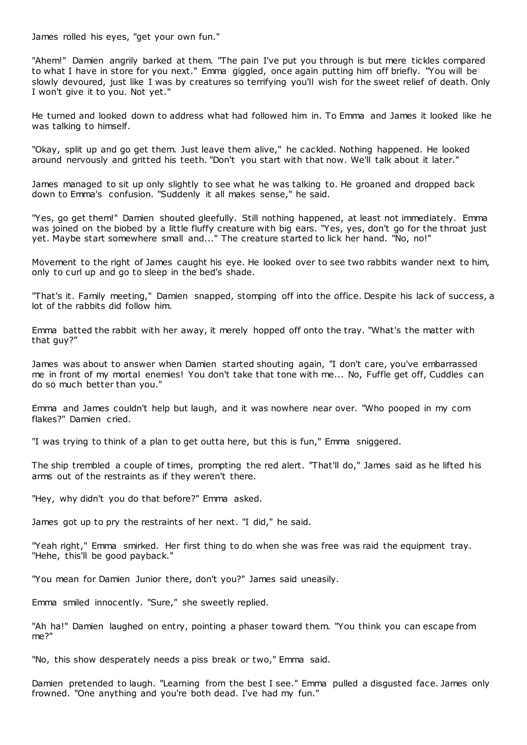James rolled his eyes, "get your own fun."

"Ahem!" Damien angrily barked at them. "The pain I've put you through is but mere tickles compared to what I have in store for you next." Emma giggled, once again putting him off briefly. "You will be slowly devoured, just like I was by creatures so terrifying you'll wish for the sweet relief of death. Only I won't give it to you. Not yet."

He turned and looked down to address what had followed him in. To Emma and James it looked like he was talking to himself.

"Okay, split up and go get them. Just leave them alive," he cackled. Nothing happened. He looked around nervously and gritted his teeth. "Don't you start with that now. We'll talk about it later."

James managed to sit up only slightly to see what he was talking to. He groaned and dropped back down to Emma's confusion. "Suddenly it all makes sense," he said.

"Yes, go get them!" Damien shouted gleefully. Still nothing happened, at least not immediately. Emma was joined on the biobed by a little fluffy creature with big ears. "Yes, yes, don't go for the throat just yet. Maybe start somewhere small and..." The creature started to lick her hand. "No, no!"

Movement to the right of James caught his eye. He looked over to see two rabbits wander next to him, only to curl up and go to sleep in the bed's shade.

"That's it. Family meeting," Damien snapped, stomping off into the office. Despite his lack of success, a lot of the rabbits did follow him.

Emma batted the rabbit with her away, it merely hopped off onto the tray. "What's the matter with that guy?"

James was about to answer when Damien started shouting again, "I don't care, you've embarrassed me in front of my mortal enemies! You don't take that tone with me... No, Fuffle get off, Cuddles can do so much better than you."

Emma and James couldn't help but laugh, and it was nowhere near over. "Who pooped in my corn flakes?" Damien cried.

"I was trying to think of a plan to get outta here, but this is fun," Emma sniggered.

The ship trembled a couple of times, prompting the red alert. "That'll do," James said as he lifted his arms out of the restraints as if they weren't there.

"Hey, why didn't you do that before?" Emma asked.

James got up to pry the restraints of her next. "I did," he said.

"Yeah right," Emma smirked. Her first thing to do when she was free was raid the equipment tray. "Hehe, this'll be good payback."

"You mean for Damien Junior there, don't you?" James said uneasily.

Emma smiled innocently. "Sure," she sweetly replied.

"Ah ha!" Damien laughed on entry, pointing a phaser toward them. "You think you can escape from me?"

"No, this show desperately needs a piss break or two," Emma said.

Damien pretended to laugh. "Learning from the best I see." Emma pulled a disgusted face. James only frowned. "One anything and you're both dead. I've had my fun."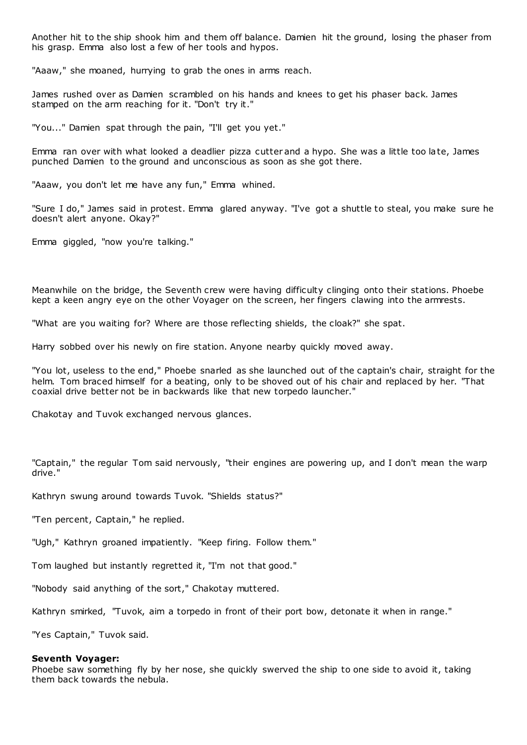Another hit to the ship shook him and them off balance. Damien hit the ground, losing the phaser from his grasp. Emma also lost a few of her tools and hypos.

"Aaaw," she moaned, hurrying to grab the ones in arms reach.

James rushed over as Damien scrambled on his hands and knees to get his phaser back. James stamped on the arm reaching for it. "Don't try it."

"You..." Damien spat through the pain, "I'll get you yet."

Emma ran over with what looked a deadlier pizza cutter and a hypo. She was a little too late, James punched Damien to the ground and unconscious as soon as she got there.

"Aaaw, you don't let me have any fun," Emma whined.

"Sure I do," James said in protest. Emma glared anyway. "I've got a shuttle to steal, you make sure he doesn't alert anyone. Okay?"

Emma giggled, "now you're talking."

Meanwhile on the bridge, the Seventh crew were having difficulty clinging onto their stations. Phoebe kept a keen angry eye on the other Voyager on the screen, her fingers clawing into the armrests.

"What are you waiting for? Where are those reflecting shields, the cloak?" she spat.

Harry sobbed over his newly on fire station. Anyone nearby quickly moved away.

"You lot, useless to the end," Phoebe snarled as she launched out of the captain's chair, straight for the helm. Tom braced himself for a beating, only to be shoved out of his chair and replaced by her. "That coaxial drive better not be in backwards like that new torpedo launcher."

Chakotay and Tuvok exchanged nervous glances.

"Captain," the regular Tom said nervously, "their engines are powering up, and I don't mean the warp drive."

Kathryn swung around towards Tuvok. "Shields status?"

"Ten percent, Captain," he replied.

"Ugh," Kathryn groaned impatiently. "Keep firing. Follow them."

Tom laughed but instantly regretted it, "I'm not that good."

"Nobody said anything of the sort," Chakotay muttered.

Kathryn smirked, "Tuvok, aim a torpedo in front of their port bow, detonate it when in range."

"Yes Captain," Tuvok said.

#### **Seventh Voyager:**

Phoebe saw something fly by her nose, she quickly swerved the ship to one side to avoid it, taking them back towards the nebula.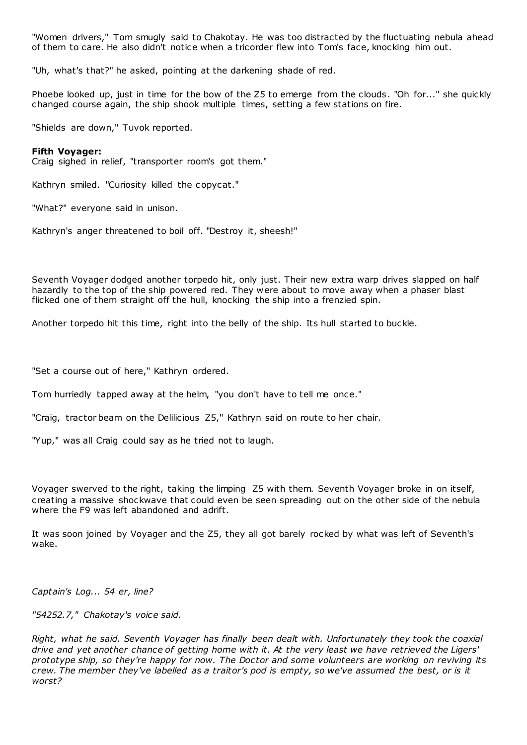"Women drivers," Tom smugly said to Chakotay. He was too distracted by the fluctuating nebula ahead of them to care. He also didn't notice when a tricorder flew into Tom's face, knocking him out.

"Uh, what's that?" he asked, pointing at the darkening shade of red.

Phoebe looked up, just in time for the bow of the Z5 to emerge from the clouds. "Oh for..." she quickly changed course again, the ship shook multiple times, setting a few stations on fire.

"Shields are down," Tuvok reported.

## **Fifth Voyager:**

Craig sighed in relief, "transporter room's got them."

Kathryn smiled. "Curiosity killed the copycat."

"What?" everyone said in unison.

Kathryn's anger threatened to boil off. "Destroy it, sheesh!"

Seventh Voyager dodged another torpedo hit, only just. Their new extra warp drives slapped on half hazardly to the top of the ship powered red. They were about to move away when a phaser blast flicked one of them straight off the hull, knocking the ship into a frenzied spin.

Another torpedo hit this time, right into the belly of the ship. Its hull started to buckle.

"Set a course out of here," Kathryn ordered.

Tom hurriedly tapped away at the helm, "you don't have to tell me once."

"Craig, tractor beam on the Delilicious Z5," Kathryn said on route to her chair.

"Yup," was all Craig could say as he tried not to laugh.

Voyager swerved to the right, taking the limping Z5 with them. Seventh Voyager broke in on itself, creating a massive shockwave that could even be seen spreading out on the other side of the nebula where the F9 was left abandoned and adrift.

It was soon joined by Voyager and the Z5, they all got barely rocked by what was left of Seventh's wake.

*Captain's Log... 54 er, line?*

*"54252.7," Chakotay's voice said.*

*Right, what he said. Seventh Voyager has finally been dealt with. Unfortunately they took the coaxial drive and yet another chance of getting home with it. At the very least we have retrieved the Ligers' prototype ship, so they're happy for now. The Doctor and some volunteers are working on reviving its crew. The member they've labelled as a traitor's pod is empty, so we've assumed the best, or is it worst?*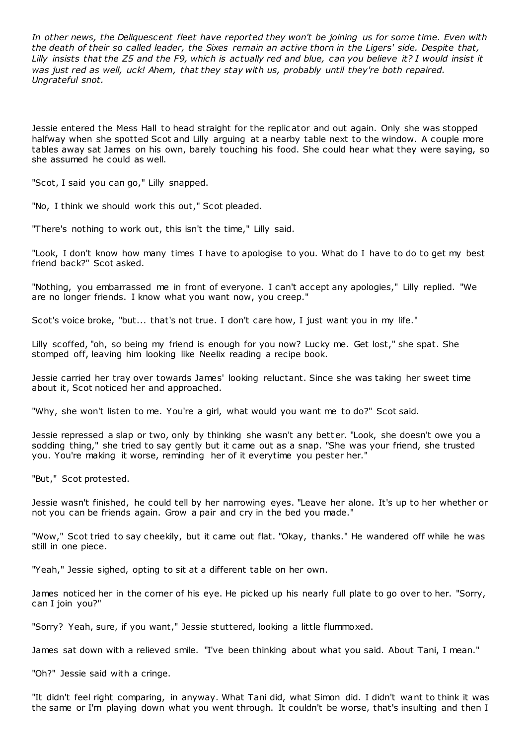*In other news, the Deliquescent fleet have reported they won't be joining us for some time. Even with the death of their so called leader, the Sixes remain an active thorn in the Ligers' side. Despite that, Lilly insists that the Z5 and the F9, which is actually red and blue, can you believe it? I would insist it was just red as well, uck! Ahem, that they stay with us, probably until they're both repaired. Ungrateful snot.*

Jessie entered the Mess Hall to head straight for the replic ator and out again. Only she was stopped halfway when she spotted Scot and Lilly arguing at a nearby table next to the window. A couple more tables away sat James on his own, barely touching his food. She could hear what they were saying, so she assumed he could as well.

"Scot, I said you can go," Lilly snapped.

"No, I think we should work this out," Scot pleaded.

"There's nothing to work out, this isn't the time," Lilly said.

"Look, I don't know how many times I have to apologise to you. What do I have to do to get my best friend back?" Scot asked.

"Nothing, you embarrassed me in front of everyone. I can't accept any apologies," Lilly replied. "We are no longer friends. I know what you want now, you creep."

Scot's voice broke, "but... that's not true. I don't care how, I just want you in my life."

Lilly scoffed, "oh, so being my friend is enough for you now? Lucky me. Get lost," she spat. She stomped off, leaving him looking like Neelix reading a recipe book.

Jessie carried her tray over towards James' looking reluctant. Since she was taking her sweet time about it, Scot noticed her and approached.

"Why, she won't listen to me. You're a girl, what would you want me to do?" Scot said.

Jessie repressed a slap or two, only by thinking she wasn't any bett er. "Look, she doesn't owe you a sodding thing," she tried to say gently but it came out as a snap. "She was your friend, she trusted you. You're making it worse, reminding her of it everytime you pester her."

"But," Scot protested.

Jessie wasn't finished, he could tell by her narrowing eyes. "Leave her alone. It's up to her whether or not you can be friends again. Grow a pair and cry in the bed you made."

"Wow," Scot tried to say cheekily, but it came out flat. "Okay, thanks." He wandered off while he was still in one piece.

"Yeah," Jessie sighed, opting to sit at a different table on her own.

James noticed her in the corner of his eye. He picked up his nearly full plate to go over to her. "Sorry, can I join you?"

"Sorry? Yeah, sure, if you want," Jessie stuttered, looking a little flummoxed.

James sat down with a relieved smile. "I've been thinking about what you said. About Tani, I mean."

"Oh?" Jessie said with a cringe.

"It didn't feel right comparing, in anyway. What Tani did, what Simon did. I didn't want to think it was the same or I'm playing down what you went through. It couldn't be worse, that's insulting and then I